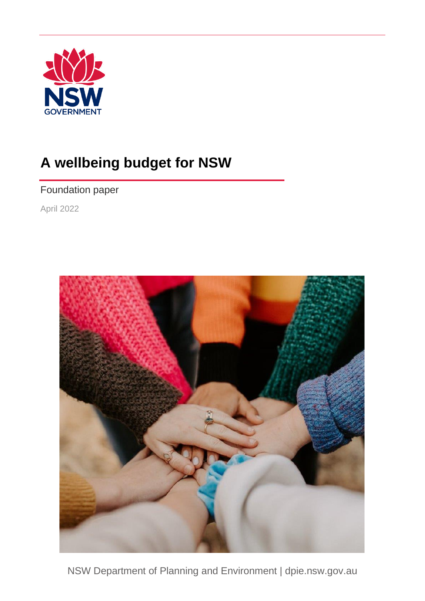

# **A wellbeing budget for NSW**

# Foundation paper

April 2022



NSW Department of Planning and Environment | dpie.nsw.gov.au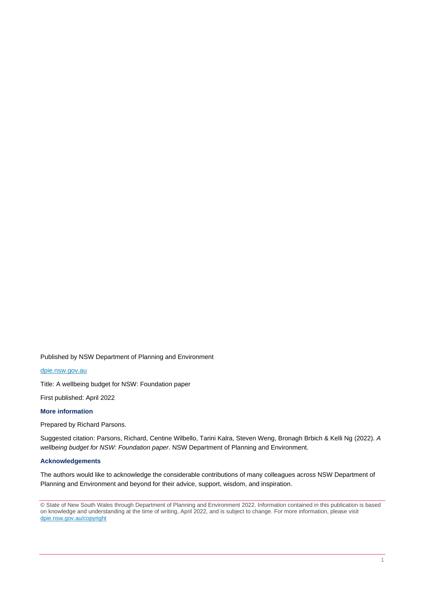Published by NSW Department of Planning and Environment

[dpie.nsw.gov.au](http://www.dpie.nsw.gov.au/)

Title: A wellbeing budget for NSW: Foundation paper

First published: April 2022

#### **More information**

Prepared by Richard Parsons.

Suggested citation: Parsons, Richard, Centine Wilbello, Tarini Kalra, Steven Weng, Bronagh Brbich & Kelli Ng (2022). *A wellbeing budget for NSW: Foundation paper*. NSW Department of Planning and Environment.

#### **Acknowledgements**

The authors would like to acknowledge the considerable contributions of many colleagues across NSW Department of Planning and Environment and beyond for their advice, support, wisdom, and inspiration.

© State of New South Wales through Department of Planning and Environment 2022. Information contained in this publication is based on knowledge and understanding at the time of writing, April 2022, and is subject to change. For more information, please visit [dpie.nsw.gov.au/copyright](https://www.dpie.nsw.gov.au/copyright)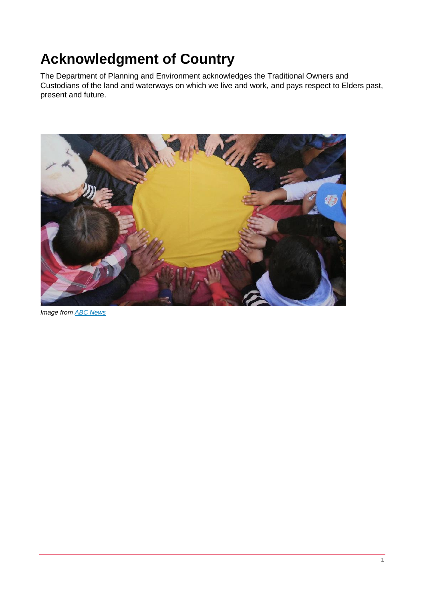# **Acknowledgment of Country**

The Department of Planning and Environment acknowledges the Traditional Owners and Custodians of the land and waterways on which we live and work, and pays respect to Elders past, present and future.



*Image fro[m ABC News](https://www.abc.net.au/news/2022-01-24/aboriginal-flag-copyright-transferred-to-commonwealth/100778324?utm_source=sfmc%e2%80%8b%e2%80%8b&utm_medium=email%e2%80%8b%e2%80%8b&utm_campaign=abc_news_newsmail_am_sfmc%e2%80%8b%e2%80%8b&utm_term=%e2%80%8b&utm_id=1806478%e2%80%8b%e2%80%8b&sfmc_id=103564450)*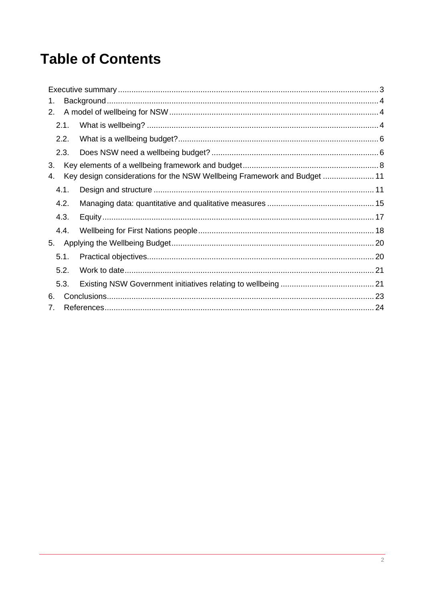# **Table of Contents**

| 1.   |                                                                          |  |
|------|--------------------------------------------------------------------------|--|
| 2.   |                                                                          |  |
| 2.1. |                                                                          |  |
| 2.2. |                                                                          |  |
| 2.3. |                                                                          |  |
| 3.   |                                                                          |  |
| 4.   | Key design considerations for the NSW Wellbeing Framework and Budget  11 |  |
| 4.1. |                                                                          |  |
| 4.2. |                                                                          |  |
| 4.3. |                                                                          |  |
| 4.4. |                                                                          |  |
| 5.   |                                                                          |  |
| 5.1. |                                                                          |  |
| 5.2. |                                                                          |  |
| 5.3. |                                                                          |  |
| 6.   |                                                                          |  |
| 7.   |                                                                          |  |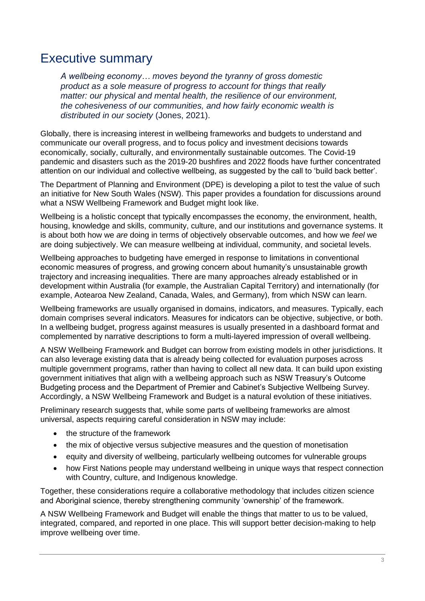# <span id="page-4-0"></span>Executive summary

*A wellbeing economy… moves beyond the tyranny of gross domestic product as a sole measure of progress to account for things that really matter: our physical and mental health, the resilience of our environment, the cohesiveness of our communities, and how fairly economic wealth is distributed in our society* (Jones, 2021).

Globally, there is increasing interest in wellbeing frameworks and budgets to understand and communicate our overall progress, and to focus policy and investment decisions towards economically, socially, culturally, and environmentally sustainable outcomes. The Covid-19 pandemic and disasters such as the 2019-20 bushfires and 2022 floods have further concentrated attention on our individual and collective wellbeing, as suggested by the call to 'build back better'.

The Department of Planning and Environment (DPE) is developing a pilot to test the value of such an initiative for New South Wales (NSW). This paper provides a foundation for discussions around what a NSW Wellbeing Framework and Budget might look like.

Wellbeing is a holistic concept that typically encompasses the economy, the environment, health, housing, knowledge and skills, community, culture, and our institutions and governance systems. It is about both how we *are* doing in terms of objectively observable outcomes, and how we *feel* we are doing subjectively. We can measure wellbeing at individual, community, and societal levels.

Wellbeing approaches to budgeting have emerged in response to limitations in conventional economic measures of progress, and growing concern about humanity's unsustainable growth trajectory and increasing inequalities. There are many approaches already established or in development within Australia (for example, the Australian Capital Territory) and internationally (for example, Aotearoa New Zealand, Canada, Wales, and Germany), from which NSW can learn.

Wellbeing frameworks are usually organised in domains, indicators, and measures. Typically, each domain comprises several indicators. Measures for indicators can be objective, subjective, or both. In a wellbeing budget, progress against measures is usually presented in a dashboard format and complemented by narrative descriptions to form a multi-layered impression of overall wellbeing.

A NSW Wellbeing Framework and Budget can borrow from existing models in other jurisdictions. It can also leverage existing data that is already being collected for evaluation purposes across multiple government programs, rather than having to collect all new data. It can build upon existing government initiatives that align with a wellbeing approach such as NSW Treasury's Outcome Budgeting process and the Department of Premier and Cabinet's Subjective Wellbeing Survey. Accordingly, a NSW Wellbeing Framework and Budget is a natural evolution of these initiatives.

Preliminary research suggests that, while some parts of wellbeing frameworks are almost universal, aspects requiring careful consideration in NSW may include:

- the structure of the framework
- the mix of objective versus subjective measures and the question of monetisation
- equity and diversity of wellbeing, particularly wellbeing outcomes for vulnerable groups
- how First Nations people may understand wellbeing in unique ways that respect connection with Country, culture, and Indigenous knowledge.

Together, these considerations require a collaborative methodology that includes citizen science and Aboriginal science, thereby strengthening community 'ownership' of the framework.

A NSW Wellbeing Framework and Budget will enable the things that matter to us to be valued, integrated, compared, and reported in one place. This will support better decision-making to help improve wellbeing over time.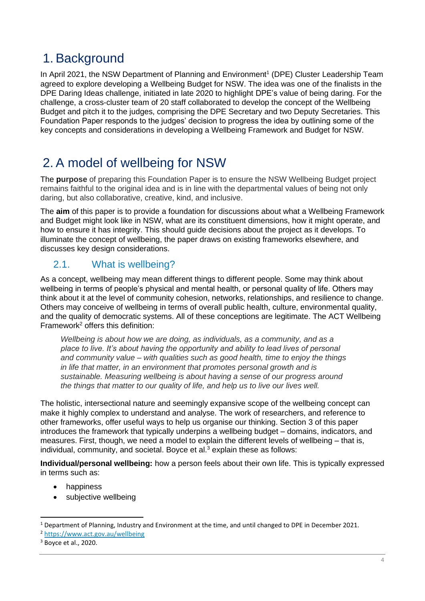# <span id="page-5-0"></span>1. Background

In April 2021, the NSW Department of Planning and Environment<sup>1</sup> (DPE) Cluster Leadership Team agreed to explore developing a Wellbeing Budget for NSW. The idea was one of the finalists in the DPE Daring Ideas challenge, initiated in late 2020 to highlight DPE's value of being daring. For the challenge, a cross-cluster team of 20 staff collaborated to develop the concept of the Wellbeing Budget and pitch it to the judges, comprising the DPE Secretary and two Deputy Secretaries. This Foundation Paper responds to the judges' decision to progress the idea by outlining some of the key concepts and considerations in developing a Wellbeing Framework and Budget for NSW.

# <span id="page-5-1"></span>2. A model of wellbeing for NSW

The **purpose** of preparing this Foundation Paper is to ensure the NSW Wellbeing Budget project remains faithful to the original idea and is in line with the departmental values of being not only daring, but also collaborative, creative, kind, and inclusive.

The **aim** of this paper is to provide a foundation for discussions about what a Wellbeing Framework and Budget might look like in NSW, what are its constituent dimensions, how it might operate, and how to ensure it has integrity. This should guide decisions about the project as it develops. To illuminate the concept of wellbeing, the paper draws on existing frameworks elsewhere, and discusses key design considerations.

# <span id="page-5-2"></span>2.1. What is wellbeing?

As a concept, wellbeing may mean different things to different people. Some may think about wellbeing in terms of people's physical and mental health, or personal quality of life. Others may think about it at the level of community cohesion, networks, relationships, and resilience to change. Others may conceive of wellbeing in terms of overall public health, culture, environmental quality, and the quality of democratic systems. All of these conceptions are legitimate. The ACT Wellbeing Framework<sup>2</sup> offers this definition:

*Wellbeing is about how we are doing, as individuals, as a community, and as a place to live. It's about having the opportunity and ability to lead lives of personal and community value – with qualities such as good health, time to enjoy the things in life that matter, in an environment that promotes personal growth and is sustainable. Measuring wellbeing is about having a sense of our progress around the things that matter to our quality of life, and help us to live our lives well.*

The holistic, intersectional nature and seemingly expansive scope of the wellbeing concept can make it highly complex to understand and analyse. The work of researchers, and reference to other frameworks, offer useful ways to help us organise our thinking. Section [3](#page-9-0) of this paper introduces the framework that typically underpins a wellbeing budget – domains, indicators, and measures. First, though, we need a model to explain the different levels of wellbeing – that is, individual, community, and societal. Boyce et al.<sup>3</sup> explain these as follows:

**Individual/personal wellbeing:** how a person feels about their own life. This is typically expressed in terms such as:

- happiness
- subjective wellbeing

<sup>&</sup>lt;sup>1</sup> Department of Planning, Industry and Environment at the time, and until changed to DPE in December 2021.

<sup>2</sup> <https://www.act.gov.au/wellbeing>

<sup>3</sup> Boyce et al., 2020.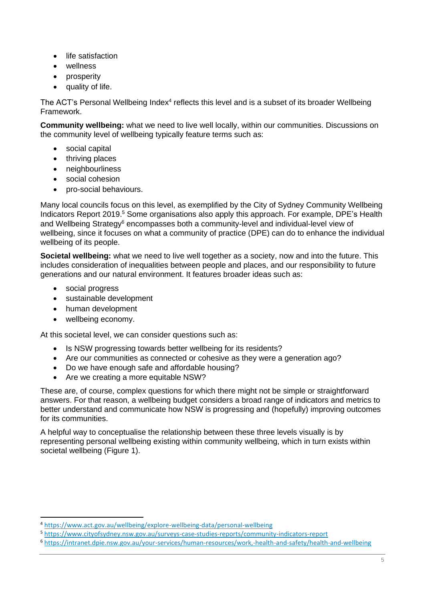- life satisfaction
- wellness
- prosperity
- quality of life.

The ACT's Personal Wellbeing Index<sup>4</sup> reflects this level and is a subset of its broader Wellbeing Framework.

**Community wellbeing:** what we need to live well locally, within our communities. Discussions on the community level of wellbeing typically feature terms such as:

- social capital
- thriving places
- neighbourliness
- social cohesion
- pro-social behaviours.

Many local councils focus on this level, as exemplified by the City of Sydney Community Wellbeing Indicators Report 2019.<sup>5</sup> Some organisations also apply this approach. For example, DPE's Health and Wellbeing Strategy<sup>6</sup> encompasses both a community-level and individual-level view of wellbeing, since it focuses on what a community of practice (DPE) can do to enhance the individual wellbeing of its people.

**Societal wellbeing:** what we need to live well together as a society, now and into the future. This includes consideration of inequalities between people and places, and our responsibility to future generations and our natural environment. It features broader ideas such as:

- social progress
- sustainable development
- human development
- wellbeing economy.

At this societal level, we can consider questions such as:

- Is NSW progressing towards better wellbeing for its residents?
- Are our communities as connected or cohesive as they were a generation ago?
- Do we have enough safe and affordable housing?
- Are we creating a more equitable NSW?

These are, of course, complex questions for which there might not be simple or straightforward answers. For that reason, a wellbeing budget considers a broad range of indicators and metrics to better understand and communicate how NSW is progressing and (hopefully) improving outcomes for its communities.

A helpful way to conceptualise the relationship between these three levels visually is by representing personal wellbeing existing within community wellbeing, which in turn exists within societal wellbeing [\(Figure 1\)](#page-7-2).

<sup>4</sup> <https://www.act.gov.au/wellbeing/explore-wellbeing-data/personal-wellbeing>

<sup>5</sup> <https://www.cityofsydney.nsw.gov.au/surveys-case-studies-reports/community-indicators-report>

<sup>6</sup> <https://intranet.dpie.nsw.gov.au/your-services/human-resources/work,-health-and-safety/health-and-wellbeing>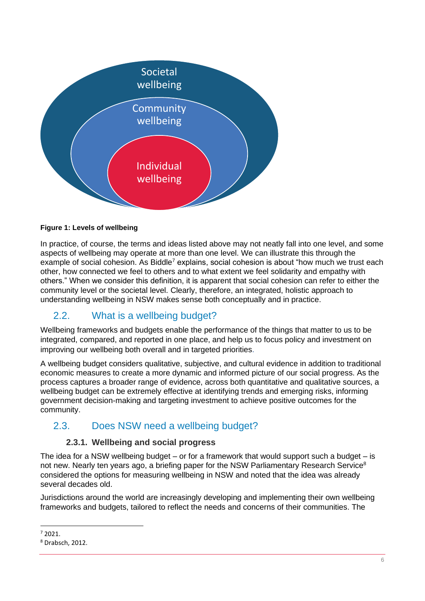

### <span id="page-7-2"></span>**Figure 1: Levels of wellbeing**

In practice, of course, the terms and ideas listed above may not neatly fall into one level, and some aspects of wellbeing may operate at more than one level. We can illustrate this through the example of social cohesion. As Biddle<sup>7</sup> explains, social cohesion is about "how much we trust each other, how connected we feel to others and to what extent we feel solidarity and empathy with others." When we consider this definition, it is apparent that social cohesion can refer to either the community level or the societal level. Clearly, therefore, an integrated, holistic approach to understanding wellbeing in NSW makes sense both conceptually and in practice.

# <span id="page-7-0"></span>2.2. What is a wellbeing budget?

Wellbeing frameworks and budgets enable the performance of the things that matter to us to be integrated, compared, and reported in one place, and help us to focus policy and investment on improving our wellbeing both overall and in targeted priorities.

A wellbeing budget considers qualitative, subjective, and cultural evidence in addition to traditional economic measures to create a more dynamic and informed picture of our social progress. As the process captures a broader range of evidence, across both quantitative and qualitative sources, a wellbeing budget can be extremely effective at identifying trends and emerging risks, informing government decision-making and targeting investment to achieve positive outcomes for the community.

## <span id="page-7-1"></span>2.3. Does NSW need a wellbeing budget?

### **2.3.1. Wellbeing and social progress**

The idea for a NSW wellbeing budget – or for a framework that would support such a budget – is not new. Nearly ten years ago, a briefing paper for the NSW Parliamentary Research Service<sup>8</sup> considered the options for measuring wellbeing in NSW and noted that the idea was already several decades old.

Jurisdictions around the world are increasingly developing and implementing their own wellbeing frameworks and budgets, tailored to reflect the needs and concerns of their communities. The

 $7,2021$ 

<sup>8</sup> Drabsch, 2012.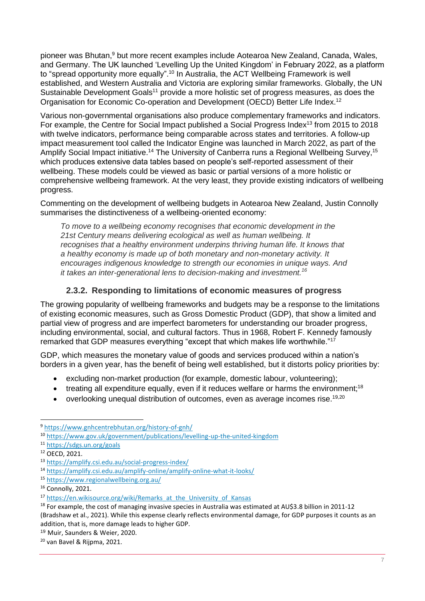pioneer was Bhutan,<sup>9</sup> but more recent examples include Aotearoa New Zealand, Canada, Wales, and Germany. The UK launched 'Levelling Up the United Kingdom' in February 2022, as a platform to "spread opportunity more equally".<sup>10</sup> In Australia, the ACT Wellbeing Framework is well established, and Western Australia and Victoria are exploring similar frameworks. Globally, the UN Sustainable Development Goals<sup>11</sup> provide a more holistic set of progress measures, as does the Organisation for Economic Co-operation and Development (OECD) Better Life Index.<sup>12</sup>

Various non-governmental organisations also produce complementary frameworks and indicators. For example, the Centre for Social Impact published a Social Progress Index<sup>13</sup> from 2015 to 2018 with twelve indicators, performance being comparable across states and territories. A follow-up impact measurement tool called the Indicator Engine was launched in March 2022, as part of the Amplify Social Impact initiative.<sup>14</sup> The University of Canberra runs a Regional Wellbeing Survey,<sup>15</sup> which produces extensive data tables based on people's self-reported assessment of their wellbeing. These models could be viewed as basic or partial versions of a more holistic or comprehensive wellbeing framework. At the very least, they provide existing indicators of wellbeing progress.

Commenting on the development of wellbeing budgets in Aotearoa New Zealand, Justin Connolly summarises the distinctiveness of a wellbeing-oriented economy:

*To move to a wellbeing economy recognises that economic development in the 21st Century means delivering ecological as well as human wellbeing. It recognises that a healthy environment underpins thriving human life. It knows that a healthy economy is made up of both monetary and non-monetary activity. It encourages indigenous knowledge to strength our economies in unique ways. And it takes an inter-generational lens to decision-making and investment.<sup>16</sup>*

## **2.3.2. Responding to limitations of economic measures of progress**

The growing popularity of wellbeing frameworks and budgets may be a response to the limitations of existing economic measures, such as Gross Domestic Product (GDP), that show a limited and partial view of progress and are imperfect barometers for understanding our broader progress, including environmental, social, and cultural factors. Thus in 1968, Robert F. Kennedy famously remarked that GDP measures everything "except that which makes life worthwhile."<sup>17</sup>

GDP, which measures the monetary value of goods and services produced within a nation's borders in a given year, has the benefit of being well established, but it distorts policy priorities by:

- excluding non-market production (for example, domestic labour, volunteering);
- $\bullet$  treating all expenditure equally, even if it reduces welfare or harms the environment;<sup>18</sup>
- overlooking unequal distribution of outcomes, even as average incomes rise.<sup>19,20</sup>

<sup>9</sup> <https://www.gnhcentrebhutan.org/history-of-gnh/>

<sup>10</sup> <https://www.gov.uk/government/publications/levelling-up-the-united-kingdom>

<sup>11</sup> <https://sdgs.un.org/goals>

<sup>12</sup> OECD, 2021.

<sup>13</sup> <https://amplify.csi.edu.au/social-progress-index/>

<sup>14</sup> <https://amplify.csi.edu.au/amplify-online/amplify-online-what-it-looks/>

<sup>15</sup> <https://www.regionalwellbeing.org.au/>

<sup>&</sup>lt;sup>16</sup> Connolly, 2021.

<sup>&</sup>lt;sup>17</sup> [https://en.wikisource.org/wiki/Remarks\\_at\\_the\\_University\\_of\\_Kansas](https://en.wikisource.org/wiki/Remarks_at_the_University_of_Kansas)

<sup>&</sup>lt;sup>18</sup> For example, the cost of managing invasive species in Australia was estimated at AU\$3.8 billion in 2011-12 (Bradshaw et al., 2021). While this expense clearly reflects environmental damage, for GDP purposes it counts as an addition, that is, more damage leads to higher GDP.

<sup>19</sup> Muir, Saunders & Weier, 2020.

<sup>20</sup> van Bavel & Rijpma, 2021.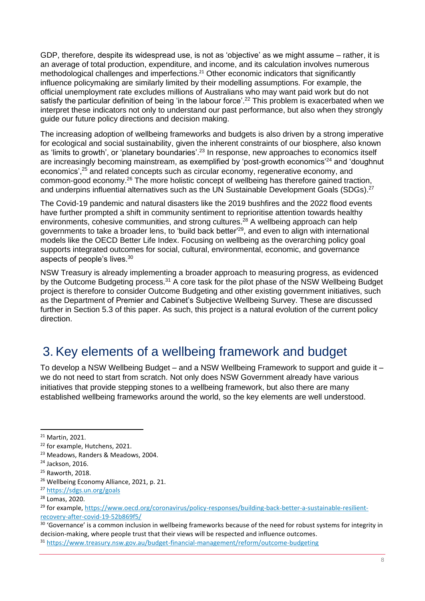GDP, therefore, despite its widespread use, is not as 'objective' as we might assume – rather, it is an average of total production, expenditure, and income, and its calculation involves numerous methodological challenges and imperfections.<sup>21</sup> Other economic indicators that significantly influence policymaking are similarly limited by their modelling assumptions. For example, the official unemployment rate excludes millions of Australians who may want paid work but do not satisfy the particular definition of being 'in the labour force'.<sup>22</sup> This problem is exacerbated when we interpret these indicators not only to understand our past performance, but also when they strongly guide our future policy directions and decision making.

The increasing adoption of wellbeing frameworks and budgets is also driven by a strong imperative for ecological and social sustainability, given the inherent constraints of our biosphere, also known as 'limits to growth', or 'planetary boundaries'.<sup>23</sup> In response, new approaches to economics itself are increasingly becoming mainstream, as exemplified by 'post-growth economics'<sup>24</sup> and 'doughnut economics',<sup>25</sup> and related concepts such as circular economy, regenerative economy, and common-good economy.<sup>26</sup> The more holistic concept of wellbeing has therefore gained traction, and underpins influential alternatives such as the UN Sustainable Development Goals (SDGs).<sup>27</sup>

The Covid-19 pandemic and natural disasters like the 2019 bushfires and the 2022 flood events have further prompted a shift in community sentiment to reprioritise attention towards healthy environments, cohesive communities, and strong cultures.<sup>28</sup> A wellbeing approach can help governments to take a broader lens, to 'build back better'<sup>29</sup>, and even to align with international models like the OECD Better Life Index. Focusing on wellbeing as the overarching policy goal supports integrated outcomes for social, cultural, environmental, economic, and governance aspects of people's lives.<sup>30</sup>

NSW Treasury is already implementing a broader approach to measuring progress, as evidenced by the Outcome Budgeting process.<sup>31</sup> A core task for the pilot phase of the NSW Wellbeing Budget project is therefore to consider Outcome Budgeting and other existing government initiatives, such as the Department of Premier and Cabinet's Subjective Wellbeing Survey. These are discussed further in Section [5.3](#page-22-1) of this paper. As such, this project is a natural evolution of the current policy direction.

# <span id="page-9-0"></span>3. Key elements of a wellbeing framework and budget

To develop a NSW Wellbeing Budget – and a NSW Wellbeing Framework to support and guide it – we do not need to start from scratch. Not only does NSW Government already have various initiatives that provide stepping stones to a wellbeing framework, but also there are many established wellbeing frameworks around the world, so the key elements are well understood.

<sup>30</sup> 'Governance' is a common inclusion in wellbeing frameworks because of the need for robust systems for integrity in decision-making, where people trust that their views will be respected and influence outcomes.

<sup>21</sup> Martin, 2021.

<sup>&</sup>lt;sup>22</sup> for example, Hutchens, 2021.

<sup>23</sup> Meadows, Randers & Meadows, 2004.

<sup>24</sup> Jackson, 2016.

<sup>25</sup> Raworth, 2018.

<sup>&</sup>lt;sup>26</sup> Wellbeing Economy Alliance, 2021, p. 21.

<sup>27</sup> <https://sdgs.un.org/goals>

<sup>28</sup> Lomas, 2020.

<sup>&</sup>lt;sup>29</sup> for example, [https://www.oecd.org/coronavirus/policy-responses/building-back-better-a-sustainable-resilient](https://www.oecd.org/coronavirus/policy-responses/building-back-better-a-sustainable-resilient-recovery-after-covid-19-52b869f5/)[recovery-after-covid-19-52b869f5/](https://www.oecd.org/coronavirus/policy-responses/building-back-better-a-sustainable-resilient-recovery-after-covid-19-52b869f5/)

<sup>31</sup> <https://www.treasury.nsw.gov.au/budget-financial-management/reform/outcome-budgeting>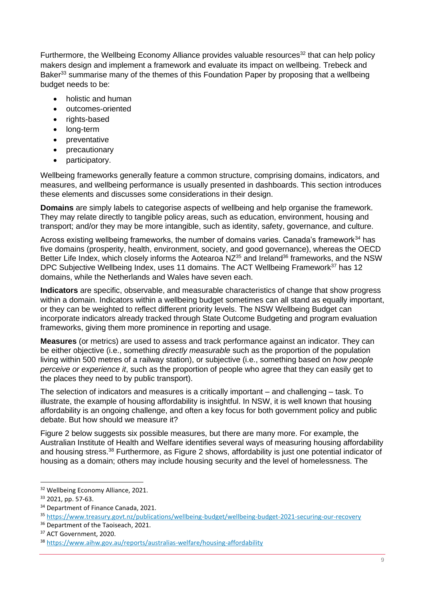Furthermore, the Wellbeing Economy Alliance provides valuable resources<sup>32</sup> that can help policy makers design and implement a framework and evaluate its impact on wellbeing. Trebeck and Baker<sup>33</sup> summarise many of the themes of this Foundation Paper by proposing that a wellbeing budget needs to be:

- holistic and human
- outcomes-oriented
- rights-based
- long-term
- preventative
- precautionary
- participatory.

Wellbeing frameworks generally feature a common structure, comprising domains, indicators, and measures, and wellbeing performance is usually presented in dashboards. This section introduces these elements and discusses some considerations in their design.

**Domains** are simply labels to categorise aspects of wellbeing and help organise the framework. They may relate directly to tangible policy areas, such as education, environment, housing and transport; and/or they may be more intangible, such as identity, safety, governance, and culture.

Across existing wellbeing frameworks, the number of domains varies. Canada's framework $34$  has five domains (prosperity, health, environment, society, and good governance), whereas the OECD Better Life Index, which closely informs the Aotearoa NZ<sup>35</sup> and Ireland<sup>36</sup> frameworks, and the NSW DPC Subjective Wellbeing Index, uses 11 domains. The ACT Wellbeing Framework<sup>37</sup> has 12 domains, while the Netherlands and Wales have seven each.

**Indicators** are specific, observable, and measurable characteristics of change that show progress within a domain. Indicators within a wellbeing budget sometimes can all stand as equally important, or they can be weighted to reflect different priority levels. The NSW Wellbeing Budget can incorporate indicators already tracked through State Outcome Budgeting and program evaluation frameworks, giving them more prominence in reporting and usage.

**Measures** (or metrics) are used to assess and track performance against an indicator. They can be either objective (i.e., something *directly measurable* such as the proportion of the population living within 500 metres of a railway station), or subjective (i.e., something based on *how people perceive or experience it*, such as the proportion of people who agree that they can easily get to the places they need to by public transport).

The selection of indicators and measures is a critically important – and challenging – task. To illustrate, the example of housing affordability is insightful. In NSW, it is well known that housing affordability is an ongoing challenge, and often a key focus for both government policy and public debate. But how should we measure it?

[Figure 2](#page-11-0) below suggests six possible measures, but there are many more. For example, the Australian Institute of Health and Welfare identifies several ways of measuring housing affordability and housing stress.<sup>38</sup> Furthermore, as [Figure 2](#page-11-0) shows, affordability is just one potential indicator of housing as a domain; others may include housing security and the level of homelessness. The

<sup>&</sup>lt;sup>32</sup> Wellbeing Economy Alliance, 2021.

<sup>33</sup> 2021, pp. 57-63.

<sup>&</sup>lt;sup>34</sup> Department of Finance Canada, 2021.

<sup>35</sup> <https://www.treasury.govt.nz/publications/wellbeing-budget/wellbeing-budget-2021-securing-our-recovery>

<sup>&</sup>lt;sup>36</sup> Department of the Taoiseach, 2021.

<sup>&</sup>lt;sup>37</sup> ACT Government, 2020.

<sup>38</sup> <https://www.aihw.gov.au/reports/australias-welfare/housing-affordability>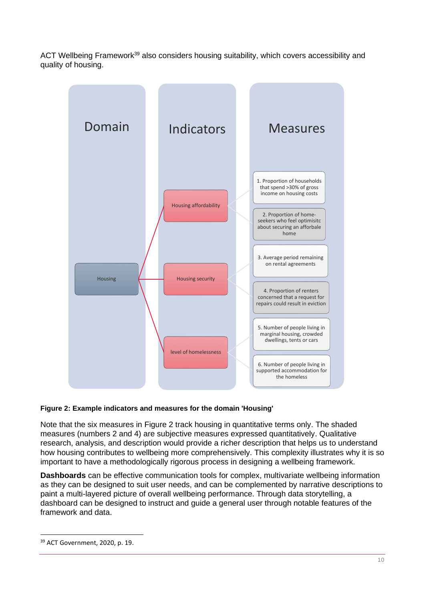ACT Wellbeing Framework<sup>39</sup> also considers housing suitability, which covers accessibility and quality of housing.



#### <span id="page-11-0"></span>**Figure 2: Example indicators and measures for the domain 'Housing'**

Note that the six measures in [Figure 2](#page-11-0) track housing in quantitative terms only. The shaded measures (numbers 2 and 4) are subjective measures expressed quantitatively. Qualitative research, analysis, and description would provide a richer description that helps us to understand how housing contributes to wellbeing more comprehensively. This complexity illustrates why it is so important to have a methodologically rigorous process in designing a wellbeing framework.

**Dashboards** can be effective communication tools for complex, multivariate wellbeing information as they can be designed to suit user needs, and can be complemented by narrative descriptions to paint a multi-layered picture of overall wellbeing performance. Through data storytelling, a dashboard can be designed to instruct and guide a general user through notable features of the framework and data.

<sup>39</sup> ACT Government, 2020, p. 19.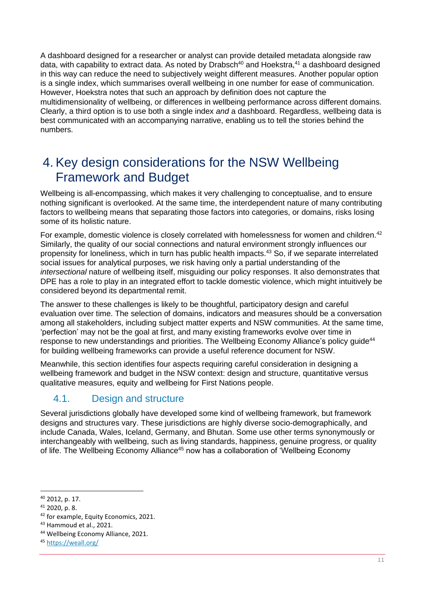A dashboard designed for a researcher or analyst can provide detailed metadata alongside raw data, with capability to extract data. As noted by Drabsch<sup>40</sup> and Hoekstra,<sup>41</sup> a dashboard designed in this way can reduce the need to subjectively weight different measures. Another popular option is a single index, which summarises overall wellbeing in one number for ease of communication. However, Hoekstra notes that such an approach by definition does not capture the multidimensionality of wellbeing, or differences in wellbeing performance across different domains. Clearly, a third option is to use both a single index *and* a dashboard. Regardless, wellbeing data is best communicated with an accompanying narrative, enabling us to tell the stories behind the numbers.

# <span id="page-12-0"></span>4. Key design considerations for the NSW Wellbeing Framework and Budget

Wellbeing is all-encompassing, which makes it very challenging to conceptualise, and to ensure nothing significant is overlooked. At the same time, the interdependent nature of many contributing factors to wellbeing means that separating those factors into categories, or domains, risks losing some of its holistic nature.

For example, domestic violence is closely correlated with homelessness for women and children.<sup>42</sup> Similarly, the quality of our social connections and natural environment strongly influences our propensity for loneliness, which in turn has public health impacts.<sup>43</sup> So, if we separate interrelated social issues for analytical purposes, we risk having only a partial understanding of the *intersectional* nature of wellbeing itself, misguiding our policy responses. It also demonstrates that DPE has a role to play in an integrated effort to tackle domestic violence, which might intuitively be considered beyond its departmental remit.

The answer to these challenges is likely to be thoughtful, participatory design and careful evaluation over time. The selection of domains, indicators and measures should be a conversation among all stakeholders, including subject matter experts and NSW communities. At the same time, 'perfection' may not be the goal at first, and many existing frameworks evolve over time in response to new understandings and priorities. The Wellbeing Economy Alliance's policy quide<sup>44</sup> for building wellbeing frameworks can provide a useful reference document for NSW.

Meanwhile, this section identifies four aspects requiring careful consideration in designing a wellbeing framework and budget in the NSW context: design and structure, quantitative versus qualitative measures, equity and wellbeing for First Nations people.

## <span id="page-12-1"></span>4.1. Design and structure

Several jurisdictions globally have developed some kind of wellbeing framework, but framework designs and structures vary. These jurisdictions are highly diverse socio-demographically, and include Canada, Wales, Iceland, Germany, and Bhutan. Some use other terms synonymously or interchangeably with wellbeing, such as living standards, happiness, genuine progress, or quality of life. The Wellbeing Economy Alliance<sup>45</sup> now has a collaboration of 'Wellbeing Economy

<sup>40</sup> 2012, p. 17.

 $41$  2020, p. 8.

<sup>&</sup>lt;sup>42</sup> for example, Equity Economics, 2021.

<sup>43</sup> Hammoud et al., 2021.

<sup>44</sup> Wellbeing Economy Alliance, 2021.

<sup>45</sup> <https://weall.org/>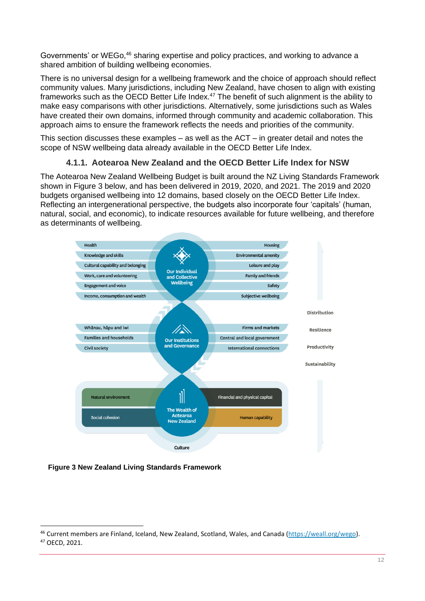Governments' or WEGo,<sup>46</sup> sharing expertise and policy practices, and working to advance a shared ambition of building wellbeing economies.

There is no universal design for a wellbeing framework and the choice of approach should reflect community values. Many jurisdictions, including New Zealand, have chosen to align with existing frameworks such as the OECD Better Life Index.<sup>47</sup> The benefit of such alignment is the ability to make easy comparisons with other jurisdictions. Alternatively, some jurisdictions such as Wales have created their own domains, informed through community and academic collaboration. This approach aims to ensure the framework reflects the needs and priorities of the community.

This section discusses these examples – as well as the ACT – in greater detail and notes the scope of NSW wellbeing data already available in the OECD Better Life Index.

### **4.1.1. Aotearoa New Zealand and the OECD Better Life Index for NSW**

The Aotearoa New Zealand Wellbeing Budget is built around the NZ Living Standards Framework shown in [Figure 3](#page-13-0) below, and has been delivered in 2019, 2020, and 2021. The 2019 and 2020 budgets organised wellbeing into 12 domains, based closely on the OECD Better Life Index. Reflecting an intergenerational perspective, the budgets also incorporate four 'capitals' (human, natural, social, and economic), to indicate resources available for future wellbeing, and therefore as determinants of wellbeing.



<span id="page-13-0"></span>**Figure 3 New Zealand Living Standards Framework**

<sup>&</sup>lt;sup>46</sup> Current members are Finland, Iceland, New Zealand, Scotland, Wales, and Canada [\(https://weall.org/wego\)](https://weall.org/wego). <sup>47</sup> OECD, 2021.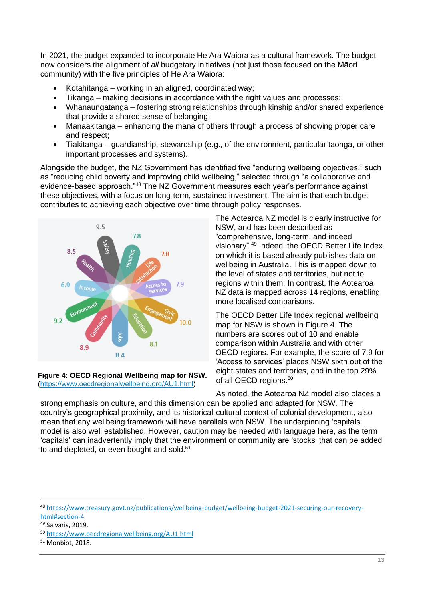In 2021, the budget expanded to incorporate He Ara Waiora as a cultural framework. The budget now considers the alignment of *all* budgetary initiatives (not just those focused on the Māori community) with the five principles of He Ara Waiora:

- Kotahitanga working in an aligned, coordinated way;
- Tikanga making decisions in accordance with the right values and processes;
- Whanaungatanga fostering strong relationships through kinship and/or shared experience that provide a shared sense of belonging;
- Manaakitanga enhancing the mana of others through a process of showing proper care and respect;
- Tiakitanga guardianship, stewardship (e.g., of the environment, particular taonga, or other important processes and systems).

Alongside the budget, the NZ Government has identified five "enduring wellbeing objectives," such as "reducing child poverty and improving child wellbeing," selected through "a collaborative and evidence-based approach."<sup>48</sup> The NZ Government measures each year's performance against these objectives, with a focus on long-term, sustained investment. The aim is that each budget contributes to achieving each objective over time through policy responses.



<span id="page-14-0"></span>**Figure 4: OECD Regional Wellbeing map for NSW.**  [\(https://www.oecdregionalwellbeing.org/AU1.html\)](https://www.oecdregionalwellbeing.org/AU1.html)

The Aotearoa NZ model is clearly instructive for NSW, and has been described as "comprehensive, long-term, and indeed visionary".<sup>49</sup> Indeed, the OECD Better Life Index on which it is based already publishes data on wellbeing in Australia. This is mapped down to the level of states and territories, but not to regions within them. In contrast, the Aotearoa NZ data is mapped across 14 regions, enabling more localised comparisons.

The OECD Better Life Index regional wellbeing map for NSW is shown in [Figure 4.](#page-14-0) The numbers are scores out of 10 and enable comparison within Australia and with other OECD regions. For example, the score of 7.9 for 'Access to services' places NSW sixth out of the eight states and territories, and in the top 29% of all OECD regions.<sup>50</sup>

As noted, the Aotearoa NZ model also places a strong emphasis on culture, and this dimension can be applied and adapted for NSW. The country's geographical proximity, and its historical-cultural context of colonial development, also mean that any wellbeing framework will have parallels with NSW. The underpinning 'capitals' model is also well established. However, caution may be needed with language here, as the term 'capitals' can inadvertently imply that the environment or community are 'stocks' that can be added to and depleted, or even bought and sold.<sup>51</sup>

<sup>48</sup> [https://www.treasury.govt.nz/publications/wellbeing-budget/wellbeing-budget-2021-securing-our-recovery](https://www.treasury.govt.nz/publications/wellbeing-budget/wellbeing-budget-2021-securing-our-recovery-html#section-4)[html#section-4](https://www.treasury.govt.nz/publications/wellbeing-budget/wellbeing-budget-2021-securing-our-recovery-html#section-4)

<sup>49</sup> Salvaris, 2019.

<sup>50</sup> <https://www.oecdregionalwellbeing.org/AU1.html>

<sup>51</sup> Monbiot, 2018.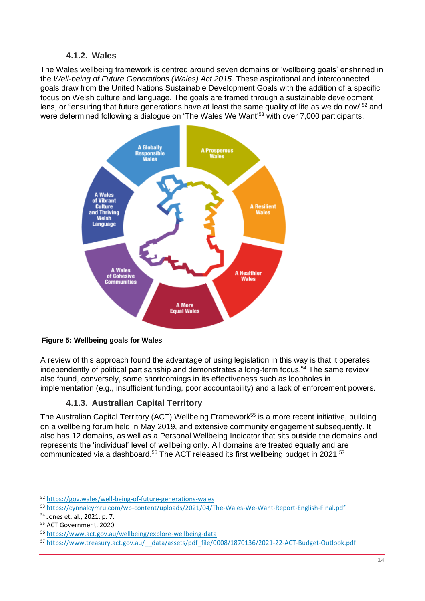### **4.1.2. Wales**

The Wales wellbeing framework is centred around seven domains or 'wellbeing goals' enshrined in the *Well-being of Future Generations (Wales) Act 2015.* These aspirational and interconnected goals draw from the United Nations Sustainable Development Goals with the addition of a specific focus on Welsh culture and language. The goals are framed through a sustainable development lens, or "ensuring that future generations have at least the same quality of life as we do now"<sup>52</sup> and were determined following a dialogue on 'The Wales We Want'<sup>53</sup> with over 7,000 participants.



### **Figure 5: Wellbeing goals for Wales**

A review of this approach found the advantage of using legislation in this way is that it operates independently of political partisanship and demonstrates a long-term focus.<sup>54</sup> The same review also found, conversely, some shortcomings in its effectiveness such as loopholes in implementation (e.g., insufficient funding, poor accountability) and a lack of enforcement powers.

## **4.1.3. Australian Capital Territory**

The Australian Capital Territory (ACT) Wellbeing Framework<sup>55</sup> is a more recent initiative, building on a wellbeing forum held in May 2019, and extensive community engagement subsequently. It also has 12 domains, as well as a Personal Wellbeing Indicator that sits outside the domains and represents the 'individual' level of wellbeing only. All domains are treated equally and are communicated via a dashboard.<sup>56</sup> The ACT released its first wellbeing budget in 2021.<sup>57</sup>

<sup>52</sup> <https://gov.wales/well-being-of-future-generations-wales>

<sup>53</sup> <https://cynnalcymru.com/wp-content/uploads/2021/04/The-Wales-We-Want-Report-English-Final.pdf>

<sup>54</sup> Jones et. al., 2021, p. 7.

<sup>&</sup>lt;sup>55</sup> ACT Government, 2020.

<sup>56</sup> <https://www.act.gov.au/wellbeing/explore-wellbeing-data>

<sup>57</sup> [https://www.treasury.act.gov.au/\\_\\_data/assets/pdf\\_file/0008/1870136/2021-22-ACT-Budget-Outlook.pdf](https://www.treasury.act.gov.au/__data/assets/pdf_file/0008/1870136/2021-22-ACT-Budget-Outlook.pdf)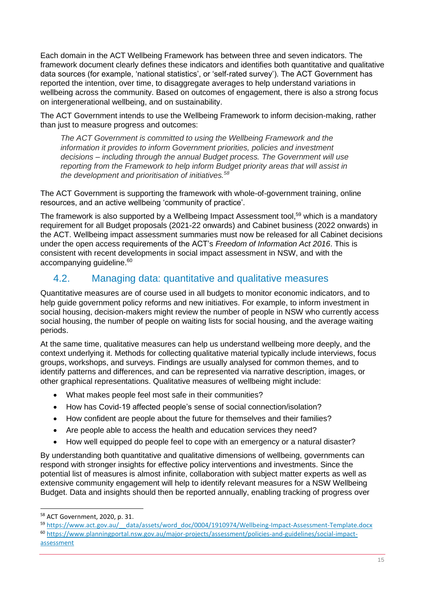Each domain in the ACT Wellbeing Framework has between three and seven indicators. The framework document clearly defines these indicators and identifies both quantitative and qualitative data sources (for example, 'national statistics', or 'self-rated survey'). The ACT Government has reported the intention, over time, to disaggregate averages to help understand variations in wellbeing across the community. Based on outcomes of engagement, there is also a strong focus on intergenerational wellbeing, and on sustainability.

The ACT Government intends to use the Wellbeing Framework to inform decision-making, rather than just to measure progress and outcomes:

*The ACT Government is committed to using the Wellbeing Framework and the information it provides to inform Government priorities, policies and investment decisions – including through the annual Budget process. The Government will use reporting from the Framework to help inform Budget priority areas that will assist in the development and prioritisation of initiatives.<sup>58</sup>*

The ACT Government is supporting the framework with whole-of-government training, online resources, and an active wellbeing 'community of practice'.

The framework is also supported by a Wellbeing Impact Assessment tool.<sup>59</sup> which is a mandatory requirement for all Budget proposals (2021-22 onwards) and Cabinet business (2022 onwards) in the ACT. Wellbeing impact assessment summaries must now be released for all Cabinet decisions under the open access requirements of the ACT's *Freedom of Information Act 2016*. This is consistent with recent developments in social impact assessment in NSW, and with the accompanying guideline.<sup>60</sup>

## <span id="page-16-0"></span>4.2. Managing data: quantitative and qualitative measures

Quantitative measures are of course used in all budgets to monitor economic indicators, and to help guide government policy reforms and new initiatives. For example, to inform investment in social housing, decision-makers might review the number of people in NSW who currently access social housing, the number of people on waiting lists for social housing, and the average waiting periods.

At the same time, qualitative measures can help us understand wellbeing more deeply, and the context underlying it. Methods for collecting qualitative material typically include interviews, focus groups, workshops, and surveys. Findings are usually analysed for common themes, and to identify patterns and differences, and can be represented via narrative description, images, or other graphical representations. Qualitative measures of wellbeing might include:

- What makes people feel most safe in their communities?
- How has Covid-19 affected people's sense of social connection/isolation?
- How confident are people about the future for themselves and their families?
- Are people able to access the health and education services they need?
- How well equipped do people feel to cope with an emergency or a natural disaster?

By understanding both quantitative and qualitative dimensions of wellbeing, governments can respond with stronger insights for effective policy interventions and investments. Since the potential list of measures is almost infinite, collaboration with subject matter experts as well as extensive community engagement will help to identify relevant measures for a NSW Wellbeing Budget. Data and insights should then be reported annually, enabling tracking of progress over

<sup>58</sup> ACT Government, 2020, p. 31.

<sup>59</sup> https://www.act.gov.au/ data/assets/word\_doc/0004/1910974/Wellbeing-Impact-Assessment-Template.docx

<sup>60</sup> [https://www.planningportal.nsw.gov.au/major-projects/assessment/policies-and-guidelines/social-impact](https://www.planningportal.nsw.gov.au/major-projects/assessment/policies-and-guidelines/social-impact-assessment)[assessment](https://www.planningportal.nsw.gov.au/major-projects/assessment/policies-and-guidelines/social-impact-assessment)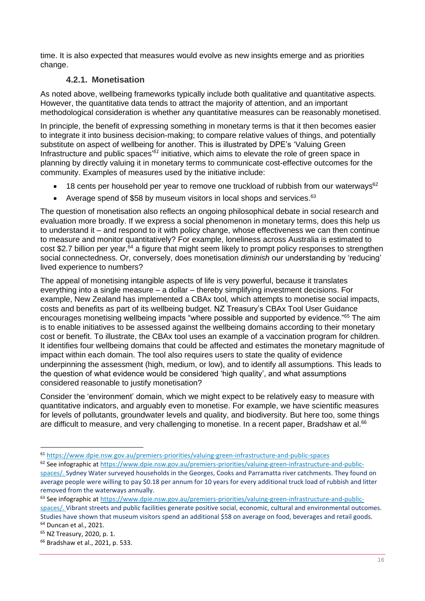time. It is also expected that measures would evolve as new insights emerge and as priorities change.

### **4.2.1. Monetisation**

As noted above, wellbeing frameworks typically include both qualitative and quantitative aspects. However, the quantitative data tends to attract the majority of attention, and an important methodological consideration is whether any quantitative measures can be reasonably monetised.

In principle, the benefit of expressing something in monetary terms is that it then becomes easier to integrate it into business decision-making; to compare relative values of things, and potentially substitute on aspect of wellbeing for another. This is illustrated by DPE's 'Valuing Green Infrastructure and public spaces<sup>'61</sup> initiative, which aims to elevate the role of green space in planning by directly valuing it in monetary terms to communicate cost-effective outcomes for the community. Examples of measures used by the initiative include:

- 18 cents per household per year to remove one truckload of rubbish from our waterways<sup>62</sup>
- Average spend of \$58 by museum visitors in local shops and services. $63$

The question of monetisation also reflects an ongoing philosophical debate in social research and evaluation more broadly. If we express a social phenomenon in monetary terms, does this help us to understand it – and respond to it with policy change, whose effectiveness we can then continue to measure and monitor quantitatively? For example, loneliness across Australia is estimated to cost \$2.7 billion per year,<sup>64</sup> a figure that might seem likely to prompt policy responses to strengthen social connectedness. Or, conversely, does monetisation *diminish* our understanding by 'reducing' lived experience to numbers?

The appeal of monetising intangible aspects of life is very powerful, because it translates everything into a single measure – a dollar – thereby simplifying investment decisions. For example, New Zealand has implemented a CBAx tool*,* which attempts to monetise social impacts, costs and benefits as part of its wellbeing budget. NZ Treasury's CBAx Tool User Guidance encourages monetising wellbeing impacts "where possible and supported by evidence."<sup>65</sup> The aim is to enable initiatives to be assessed against the wellbeing domains according to their monetary cost or benefit. To illustrate, the CBAx tool uses an example of a vaccination program for children. It identifies four wellbeing domains that could be affected and estimates the monetary magnitude of impact within each domain. The tool also requires users to state the quality of evidence underpinning the assessment (high, medium, or low), and to identify all assumptions. This leads to the question of what evidence would be considered 'high quality', and what assumptions considered reasonable to justify monetisation?

Consider the 'environment' domain, which we might expect to be relatively easy to measure with quantitative indicators, and arguably even to monetise. For example, we have scientific measures for levels of pollutants, groundwater levels and quality, and biodiversity. But here too, some things are difficult to measure, and very challenging to monetise. In a recent paper, Bradshaw et al.<sup>66</sup>

<sup>61</sup> <https://www.dpie.nsw.gov.au/premiers-priorities/valuing-green-infrastructure-and-public-spaces>

<sup>62</sup> See infographic at [https://www.dpie.nsw.gov.au/premiers-priorities/valuing-green-infrastructure-and-public-](https://www.dpie.nsw.gov.au/premiers-priorities/valuing-green-infrastructure-and-public-spaces/)

[spaces/.](https://www.dpie.nsw.gov.au/premiers-priorities/valuing-green-infrastructure-and-public-spaces/) Sydney Water surveyed households in the Georges, Cooks and Parramatta river catchments. They found on average people were willing to pay \$0.18 per annum for 10 years for every additional truck load of rubbish and litter removed from the waterways annually.

<sup>63</sup> See infographic at [https://www.dpie.nsw.gov.au/premiers-priorities/valuing-green-infrastructure-and-public](https://www.dpie.nsw.gov.au/premiers-priorities/valuing-green-infrastructure-and-public-spaces/)[spaces/.](https://www.dpie.nsw.gov.au/premiers-priorities/valuing-green-infrastructure-and-public-spaces/) Vibrant streets and public facilities generate positive social, economic, cultural and environmental outcomes. Studies have shown that museum visitors spend an additional \$58 on average on food, beverages and retail goods. <sup>64</sup> Duncan et al., 2021.

<sup>65</sup> NZ Treasury, 2020, p. 1.

<sup>66</sup> Bradshaw et al., 2021, p. 533.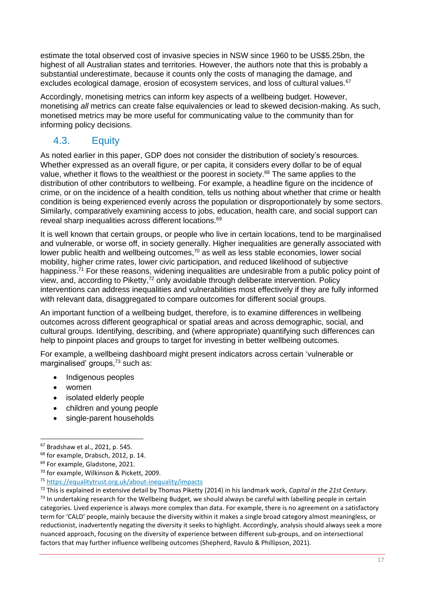estimate the total observed cost of invasive species in NSW since 1960 to be US\$5.25bn, the highest of all Australian states and territories. However, the authors note that this is probably a substantial underestimate, because it counts only the costs of managing the damage, and excludes ecological damage, erosion of ecosystem services, and loss of cultural values.<sup>67</sup>

Accordingly, monetising metrics can inform key aspects of a wellbeing budget. However, monetising *all* metrics can create false equivalencies or lead to skewed decision-making. As such, monetised metrics may be more useful for communicating value to the community than for informing policy decisions.

# <span id="page-18-0"></span>4.3. Equity

As noted earlier in this paper, GDP does not consider the distribution of society's resources. Whether expressed as an overall figure, or per capita, it considers every dollar to be of equal value, whether it flows to the wealthiest or the poorest in society.<sup>68</sup> The same applies to the distribution of other contributors to wellbeing. For example, a headline figure on the incidence of crime, or on the incidence of a health condition, tells us nothing about whether that crime or health condition is being experienced evenly across the population or disproportionately by some sectors. Similarly, comparatively examining access to jobs, education, health care, and social support can reveal sharp inequalities across different locations.<sup>69</sup>

It is well known that certain groups, or people who live in certain locations, tend to be marginalised and vulnerable, or worse off, in society generally. Higher inequalities are generally associated with lower public health and wellbeing outcomes,<sup>70</sup> as well as less stable economies, lower social mobility, higher crime rates, lower civic participation, and reduced likelihood of subjective happiness.<sup>71</sup> For these reasons, widening inequalities are undesirable from a public policy point of view, and, according to Piketty,  $\frac{1}{2}$  only avoidable through deliberate intervention. Policy interventions can address inequalities and vulnerabilities most effectively if they are fully informed with relevant data, disaggregated to compare outcomes for different social groups.

An important function of a wellbeing budget, therefore, is to examine differences in wellbeing outcomes across different geographical or spatial areas and across demographic, social, and cultural groups. Identifying, describing, and (where appropriate) quantifying such differences can help to pinpoint places and groups to target for investing in better wellbeing outcomes.

For example, a wellbeing dashboard might present indicators across certain 'vulnerable or marginalised' groups,<sup>73</sup> such as:

- Indigenous peoples
- women
- isolated elderly people
- children and young people
- single-parent households

<sup>67</sup> Bradshaw et al., 2021, p. 545.

<sup>68</sup> for example, Drabsch, 2012, p. 14.

<sup>&</sup>lt;sup>69</sup> For example, Gladstone, 2021.

<sup>70</sup> for example, Wilkinson & Pickett, 2009.

<sup>71</sup> <https://equalitytrust.org.uk/about-inequality/impacts>

<sup>72</sup> This is explained in extensive detail by Thomas Piketty (2014) in his landmark work, *Capital in the 21st Century*.  $<sup>73</sup>$  In undertaking research for the Wellbeing Budget, we should always be careful with labelling people in certain</sup> categories. Lived experience is always more complex than data. For example, there is no agreement on a satisfactory term for 'CALD' people, mainly because the diversity within it makes a single broad category almost meaningless, or reductionist, inadvertently negating the diversity it seeks to highlight. Accordingly, analysis should always seek a more nuanced approach, focusing on the diversity of experience between different sub-groups, and on intersectional factors that may further influence wellbeing outcomes (Shepherd, Ravulo & Phillipson, 2021).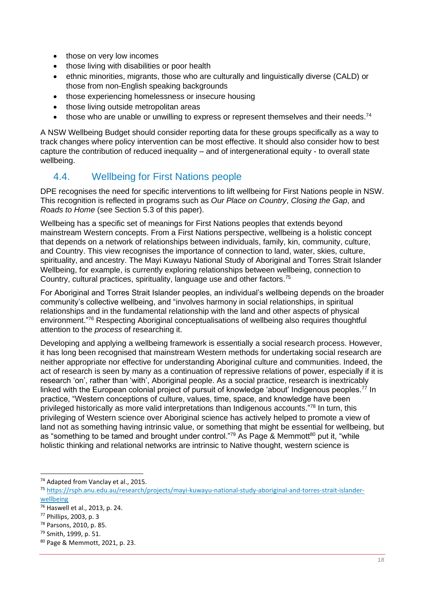- those on very low incomes
- those living with disabilities or poor health
- ethnic minorities, migrants, those who are culturally and linguistically diverse (CALD) or those from non-English speaking backgrounds
- those experiencing homelessness or insecure housing
- those living outside metropolitan areas
- $\bullet$  those who are unable or unwilling to express or represent themselves and their needs.<sup>74</sup>

A NSW Wellbeing Budget should consider reporting data for these groups specifically as a way to track changes where policy intervention can be most effective. It should also consider how to best capture the contribution of reduced inequality – and of intergenerational equity - to overall state wellbeing.

## <span id="page-19-0"></span>4.4. Wellbeing for First Nations people

DPE recognises the need for specific interventions to lift wellbeing for First Nations people in NSW. This recognition is reflected in programs such as *Our Place on Country*, *Closing the Gap*, and *Roads to Home* (see Section [5.3](#page-22-1) of this paper).

Wellbeing has a specific set of meanings for First Nations peoples that extends beyond mainstream Western concepts. From a First Nations perspective, wellbeing is a holistic concept that depends on a network of relationships between individuals, family, kin, community, culture, and Country. This view recognises the importance of connection to land, water, skies, culture, spirituality, and ancestry. The Mayi Kuwayu National Study of Aboriginal and Torres Strait Islander Wellbeing, for example, is currently exploring relationships between wellbeing, connection to Country, cultural practices, spirituality, language use and other factors.<sup>75</sup>

For Aboriginal and Torres Strait Islander peoples, an individual's wellbeing depends on the broader community's collective wellbeing, and "involves harmony in social relationships, in spiritual relationships and in the fundamental relationship with the land and other aspects of physical environment."<sup>76</sup> Respecting Aboriginal conceptualisations of wellbeing also requires thoughtful attention to the *process* of researching it.

Developing and applying a wellbeing framework is essentially a social research process. However, it has long been recognised that mainstream Western methods for undertaking social research are neither appropriate nor effective for understanding Aboriginal culture and communities. Indeed, the act of research is seen by many as a continuation of repressive relations of power, especially if it is research 'on', rather than 'with', Aboriginal people. As a social practice, research is inextricably linked with the European colonial project of pursuit of knowledge 'about' Indigenous peoples.<sup>77</sup> In practice, "Western conceptions of culture, values, time, space, and knowledge have been privileged historically as more valid interpretations than Indigenous accounts."<sup>78</sup> In turn, this privileging of Western science over Aboriginal science has actively helped to promote a view of land not as something having intrinsic value, or something that might be essential for wellbeing, but as "something to be tamed and brought under control."<sup>79</sup> As Page & Memmott<sup>80</sup> put it, "while holistic thinking and relational networks are intrinsic to Native thought, western science is

<sup>74</sup> Adapted from Vanclay et al., 2015.

<sup>75</sup> [https://rsph.anu.edu.au/research/projects/mayi-kuwayu-national-study-aboriginal-and-torres-strait-islander](https://rsph.anu.edu.au/research/projects/mayi-kuwayu-national-study-aboriginal-and-torres-strait-islander-wellbeing)[wellbeing](https://rsph.anu.edu.au/research/projects/mayi-kuwayu-national-study-aboriginal-and-torres-strait-islander-wellbeing)

<sup>76</sup> Haswell et al., 2013, p. 24.

<sup>77</sup> Phillips, 2003, p. 3

<sup>78</sup> Parsons, 2010, p. 85.

<sup>79</sup> Smith, 1999, p. 51.

<sup>80</sup> Page & Memmott, 2021, p. 23.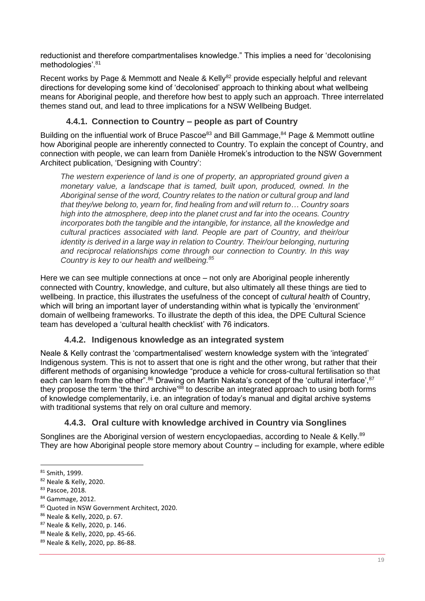reductionist and therefore compartmentalises knowledge." This implies a need for 'decolonising methodologies'. 81

Recent works by Page & Memmott and Neale & Kelly<sup>82</sup> provide especially helpful and relevant directions for developing some kind of 'decolonised' approach to thinking about what wellbeing means for Aboriginal people, and therefore how best to apply such an approach. Three interrelated themes stand out, and lead to three implications for a NSW Wellbeing Budget.

### **4.4.1. Connection to Country – people as part of Country**

Building on the influential work of Bruce Pascoe<sup>83</sup> and Bill Gammage, <sup>84</sup> Page & Memmott outline how Aboriginal people are inherently connected to Country. To explain the concept of Country, and connection with people, we can learn from Danièle Hromek's introduction to the NSW Government Architect publication, 'Designing with Country':

*The western experience of land is one of property, an appropriated ground given a monetary value, a landscape that is tamed, built upon, produced, owned. In the Aboriginal sense of the word, Country relates to the nation or cultural group and land that they/we belong to, yearn for, find healing from and will return to… Country soars high into the atmosphere, deep into the planet crust and far into the oceans. Country incorporates both the tangible and the intangible, for instance, all the knowledge and cultural practices associated with land. People are part of Country, and their/our identity is derived in a large way in relation to Country. Their/our belonging, nurturing and reciprocal relationships come through our connection to Country. In this way Country is key to our health and wellbeing.<sup>85</sup>*

Here we can see multiple connections at once – not only are Aboriginal people inherently connected with Country, knowledge, and culture, but also ultimately all these things are tied to wellbeing. In practice, this illustrates the usefulness of the concept of *cultural health* of Country, which will bring an important layer of understanding within what is typically the 'environment' domain of wellbeing frameworks. To illustrate the depth of this idea, the DPE Cultural Science team has developed a 'cultural health checklist' with 76 indicators.

### **4.4.2. Indigenous knowledge as an integrated system**

Neale & Kelly contrast the 'compartmentalised' western knowledge system with the 'integrated' Indigenous system. This is not to assert that one is right and the other wrong, but rather that their different methods of organising knowledge "produce a vehicle for cross-cultural fertilisation so that each can learn from the other".<sup>86</sup> Drawing on Martin Nakata's concept of the 'cultural interface', 87 they propose the term 'the third archive'<sup>88</sup> to describe an integrated approach to using both forms of knowledge complementarily, i.e. an integration of today's manual and digital archive systems with traditional systems that rely on oral culture and memory.

### **4.4.3. Oral culture with knowledge archived in Country via Songlines**

Songlines are the Aboriginal version of western encyclopaedias, according to Neale & Kelly.<sup>89</sup> They are how Aboriginal people store memory about Country – including for example, where edible

<sup>81</sup> Smith, 1999.

<sup>82</sup> Neale & Kelly, 2020.

<sup>83</sup> Pascoe, 2018.

<sup>84</sup> Gammage, 2012.

<sup>85</sup> Quoted in NSW Government Architect, 2020.

<sup>86</sup> Neale & Kelly, 2020, p. 67.

<sup>87</sup> Neale & Kelly, 2020, p. 146.

<sup>88</sup> Neale & Kelly, 2020, pp. 45-66.

<sup>89</sup> Neale & Kelly, 2020, pp. 86-88.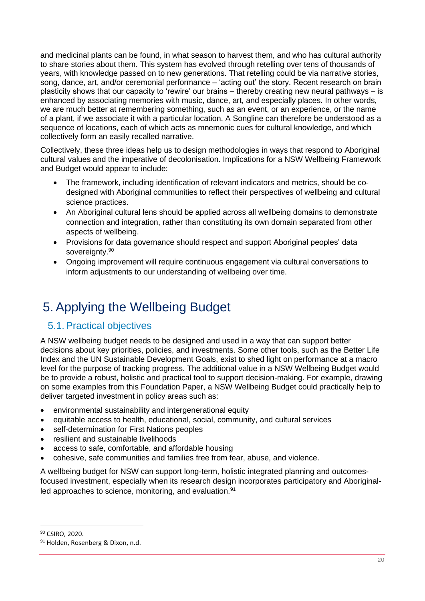and medicinal plants can be found, in what season to harvest them, and who has cultural authority to share stories about them. This system has evolved through retelling over tens of thousands of years, with knowledge passed on to new generations. That retelling could be via narrative stories, song, dance, art, and/or ceremonial performance – 'acting out' the story. Recent research on brain plasticity shows that our capacity to 'rewire' our brains – thereby creating new neural pathways – is enhanced by associating memories with music, dance, art, and especially places. In other words, we are much better at remembering something, such as an event, or an experience, or the name of a plant, if we associate it with a particular location. A Songline can therefore be understood as a sequence of locations, each of which acts as mnemonic cues for cultural knowledge, and which collectively form an easily recalled narrative.

Collectively, these three ideas help us to design methodologies in ways that respond to Aboriginal cultural values and the imperative of decolonisation. Implications for a NSW Wellbeing Framework and Budget would appear to include:

- The framework, including identification of relevant indicators and metrics, should be codesigned with Aboriginal communities to reflect their perspectives of wellbeing and cultural science practices.
- An Aboriginal cultural lens should be applied across all wellbeing domains to demonstrate connection and integration, rather than constituting its own domain separated from other aspects of wellbeing.
- Provisions for data governance should respect and support Aboriginal peoples' data sovereignty.<sup>90</sup>
- Ongoing improvement will require continuous engagement via cultural conversations to inform adjustments to our understanding of wellbeing over time.

# <span id="page-21-0"></span>5. Applying the Wellbeing Budget

## <span id="page-21-1"></span>5.1.Practical objectives

A NSW wellbeing budget needs to be designed and used in a way that can support better decisions about key priorities, policies, and investments. Some other tools, such as the Better Life Index and the UN Sustainable Development Goals, exist to shed light on performance at a macro level for the purpose of tracking progress. The additional value in a NSW Wellbeing Budget would be to provide a robust, holistic and practical tool to support decision-making. For example, drawing on some examples from this Foundation Paper, a NSW Wellbeing Budget could practically help to deliver targeted investment in policy areas such as:

- environmental sustainability and intergenerational equity
- equitable access to health, educational, social, community, and cultural services
- self-determination for First Nations peoples
- resilient and sustainable livelihoods
- access to safe, comfortable, and affordable housing
- cohesive, safe communities and families free from fear, abuse, and violence.

A wellbeing budget for NSW can support long-term, holistic integrated planning and outcomesfocused investment, especially when its research design incorporates participatory and Aboriginalled approaches to science, monitoring, and evaluation.<sup>91</sup>

<sup>90</sup> CSIRO, 2020.

<sup>91</sup> Holden, Rosenberg & Dixon, n.d.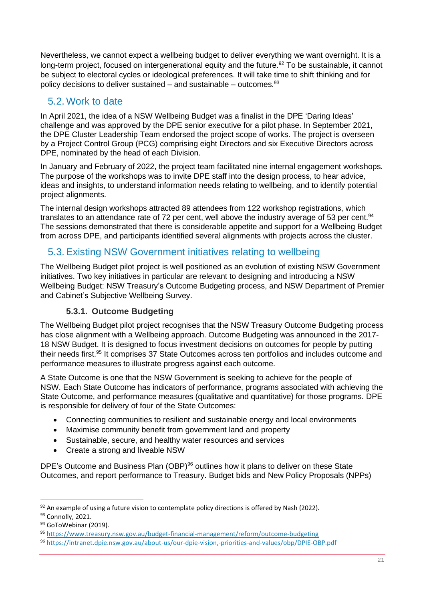Nevertheless, we cannot expect a wellbeing budget to deliver everything we want overnight. It is a long-term project, focused on intergenerational equity and the future.<sup>92</sup> To be sustainable, it cannot be subject to electoral cycles or ideological preferences. It will take time to shift thinking and for policy decisions to deliver sustained – and sustainable – outcomes. $93$ 

## <span id="page-22-0"></span>5.2. Work to date

In April 2021, the idea of a NSW Wellbeing Budget was a finalist in the DPE 'Daring Ideas' challenge and was approved by the DPE senior executive for a pilot phase. In September 2021, the DPE Cluster Leadership Team endorsed the project scope of works. The project is overseen by a Project Control Group (PCG) comprising eight Directors and six Executive Directors across DPE, nominated by the head of each Division.

In January and February of 2022, the project team facilitated nine internal engagement workshops. The purpose of the workshops was to invite DPE staff into the design process, to hear advice, ideas and insights, to understand information needs relating to wellbeing, and to identify potential project alignments.

The internal design workshops attracted 89 attendees from 122 workshop registrations, which translates to an attendance rate of 72 per cent, well above the industry average of 53 per cent.<sup>94</sup> The sessions demonstrated that there is considerable appetite and support for a Wellbeing Budget from across DPE, and participants identified several alignments with projects across the cluster.

# <span id="page-22-1"></span>5.3.Existing NSW Government initiatives relating to wellbeing

The Wellbeing Budget pilot project is well positioned as an evolution of existing NSW Government initiatives. Two key initiatives in particular are relevant to designing and introducing a NSW Wellbeing Budget: NSW Treasury's Outcome Budgeting process, and NSW Department of Premier and Cabinet's Subjective Wellbeing Survey.

### **5.3.1. Outcome Budgeting**

The Wellbeing Budget pilot project recognises that the NSW Treasury Outcome Budgeting process has close alignment with a Wellbeing approach. Outcome Budgeting was announced in the 2017- 18 NSW Budget. It is designed to focus investment decisions on outcomes for people by putting their needs first.<sup>95</sup> It comprises 37 State Outcomes across ten portfolios and includes outcome and performance measures to illustrate progress against each outcome.

A State Outcome is one that the NSW Government is seeking to achieve for the people of NSW. Each State Outcome has indicators of performance, programs associated with achieving the State Outcome, and performance measures (qualitative and quantitative) for those programs. DPE is responsible for delivery of four of the State Outcomes:

- Connecting communities to resilient and sustainable energy and local environments
- Maximise community benefit from government land and property
- Sustainable, secure, and healthy water resources and services
- Create a strong and liveable NSW

DPE's Outcome and Business Plan (OBP)<sup>96</sup> outlines how it plans to deliver on these State Outcomes, and report performance to Treasury. Budget bids and New Policy Proposals (NPPs)

 $92$  An example of using a future vision to contemplate policy directions is offered by Nash (2022).

<sup>93</sup> Connolly, 2021.

<sup>&</sup>lt;sup>94</sup> GoToWebinar (2019).

<sup>95</sup> <https://www.treasury.nsw.gov.au/budget-financial-management/reform/outcome-budgeting>

<sup>96</sup> <https://intranet.dpie.nsw.gov.au/about-us/our-dpie-vision,-priorities-and-values/obp/DPIE-OBP.pdf>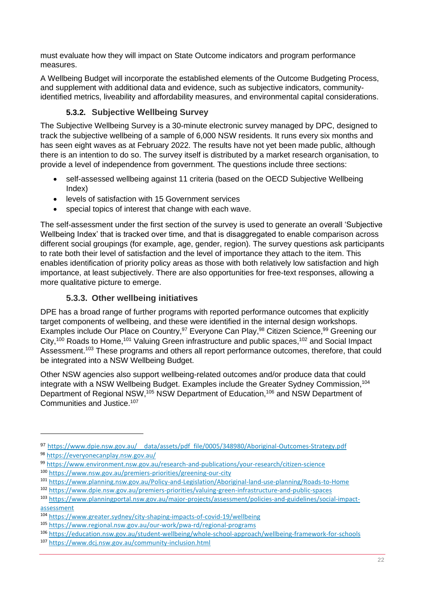must evaluate how they will impact on State Outcome indicators and program performance measures.

A Wellbeing Budget will incorporate the established elements of the Outcome Budgeting Process, and supplement with additional data and evidence, such as subjective indicators, communityidentified metrics, liveability and affordability measures, and environmental capital considerations.

## **5.3.2. Subjective Wellbeing Survey**

The Subjective Wellbeing Survey is a 30-minute electronic survey managed by DPC, designed to track the subjective wellbeing of a sample of 6,000 NSW residents. It runs every six months and has seen eight waves as at February 2022. The results have not yet been made public, although there is an intention to do so. The survey itself is distributed by a market research organisation, to provide a level of independence from government. The questions include three sections:

- self-assessed wellbeing against 11 criteria (based on the OECD Subjective Wellbeing Index)
- levels of satisfaction with 15 Government services
- special topics of interest that change with each wave.

The self-assessment under the first section of the survey is used to generate an overall 'Subjective Wellbeing Index' that is tracked over time, and that is disaggregated to enable comparison across different social groupings (for example, age, gender, region). The survey questions ask participants to rate both their level of satisfaction and the level of importance they attach to the item. This enables identification of priority policy areas as those with both relatively low satisfaction and high importance, at least subjectively. There are also opportunities for free-text responses, allowing a more qualitative picture to emerge.

## **5.3.3. Other wellbeing initiatives**

DPE has a broad range of further programs with reported performance outcomes that explicitly target components of wellbeing, and these were identified in the internal design workshops. Examples include Our Place on Country,<sup>97</sup> Everyone Can Play,<sup>98</sup> Citizen Science,<sup>99</sup> Greening our City,<sup>100</sup> Roads to Home,<sup>101</sup> Valuing Green infrastructure and public spaces,<sup>102</sup> and Social Impact Assessment.<sup>103</sup> These programs and others all report performance outcomes, therefore, that could be integrated into a NSW Wellbeing Budget.

Other NSW agencies also support wellbeing-related outcomes and/or produce data that could integrate with a NSW Wellbeing Budget. Examples include the Greater Sydney Commission,<sup>104</sup> Department of Regional NSW,<sup>105</sup> NSW Department of Education,<sup>106</sup> and NSW Department of Communities and Justice. 107

<sup>97</sup> https://www.dpie.nsw.gov.au/ data/assets/pdf file/0005/348980/Aboriginal-Outcomes-Strategy.pdf

<sup>98</sup> <https://everyonecanplay.nsw.gov.au/>

<sup>99</sup> <https://www.environment.nsw.gov.au/research-and-publications/your-research/citizen-science> <sup>100</sup> <https://www.nsw.gov.au/premiers-priorities/greening-our-city>

<sup>101</sup> <https://www.planning.nsw.gov.au/Policy-and-Legislation/Aboriginal-land-use-planning/Roads-to-Home>

<sup>102</sup> <https://www.dpie.nsw.gov.au/premiers-priorities/valuing-green-infrastructure-and-public-spaces>

<sup>103</sup> [https://www.planningportal.nsw.gov.au/major-projects/assessment/policies-and-guidelines/social-impact](https://www.planningportal.nsw.gov.au/major-projects/assessment/policies-and-guidelines/social-impact-assessment)[assessment](https://www.planningportal.nsw.gov.au/major-projects/assessment/policies-and-guidelines/social-impact-assessment)

<sup>104</sup> <https://www.greater.sydney/city-shaping-impacts-of-covid-19/wellbeing>

<sup>105</sup> <https://www.regional.nsw.gov.au/our-work/pwa-rd/regional-programs>

<sup>106</sup> <https://education.nsw.gov.au/student-wellbeing/whole-school-approach/wellbeing-framework-for-schools> <sup>107</sup> <https://www.dcj.nsw.gov.au/community-inclusion.html>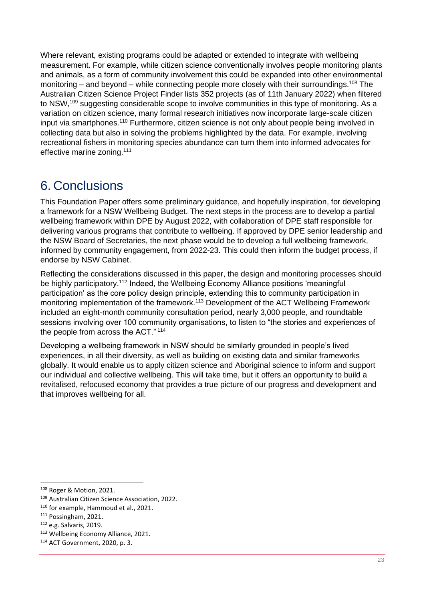Where relevant, existing programs could be adapted or extended to integrate with wellbeing measurement. For example, while citizen science conventionally involves people monitoring plants and animals, as a form of community involvement this could be expanded into other environmental monitoring – and beyond – while connecting people more closely with their surroundings.<sup>108</sup> The Australian Citizen Science Project Finder lists 352 projects (as of 11th January 2022) when filtered to NSW,<sup>109</sup> suggesting considerable scope to involve communities in this type of monitoring. As a variation on citizen science, many formal research initiatives now incorporate large-scale citizen input via smartphones.<sup>110</sup> Furthermore, citizen science is not only about people being involved in collecting data but also in solving the problems highlighted by the data. For example, involving recreational fishers in monitoring species abundance can turn them into informed advocates for effective marine zoning.<sup>111</sup>

# <span id="page-24-0"></span>6. Conclusions

This Foundation Paper offers some preliminary guidance, and hopefully inspiration, for developing a framework for a NSW Wellbeing Budget. The next steps in the process are to develop a partial wellbeing framework within DPE by August 2022, with collaboration of DPE staff responsible for delivering various programs that contribute to wellbeing. If approved by DPE senior leadership and the NSW Board of Secretaries, the next phase would be to develop a full wellbeing framework, informed by community engagement, from 2022-23. This could then inform the budget process, if endorse by NSW Cabinet.

Reflecting the considerations discussed in this paper, the design and monitoring processes should be highly participatory.<sup>112</sup> Indeed, the Wellbeing Economy Alliance positions 'meaningful participation' as the core policy design principle, extending this to community participation in monitoring implementation of the framework.<sup>113</sup> Development of the ACT Wellbeing Framework included an eight-month community consultation period, nearly 3,000 people, and roundtable sessions involving over 100 community organisations, to listen to "the stories and experiences of the people from across the ACT." <sup>114</sup>

Developing a wellbeing framework in NSW should be similarly grounded in people's lived experiences, in all their diversity, as well as building on existing data and similar frameworks globally. It would enable us to apply citizen science and Aboriginal science to inform and support our individual and collective wellbeing. This will take time, but it offers an opportunity to build a revitalised, refocused economy that provides a true picture of our progress and development and that improves wellbeing for all.

<sup>108</sup> Roger & Motion, 2021.

<sup>109</sup> Australian Citizen Science Association, 2022.

<sup>110</sup> for example, Hammoud et al., 2021.

<sup>111</sup> Possingham, 2021.

<sup>112</sup> e.g. Salvaris, 2019.

<sup>113</sup> Wellbeing Economy Alliance, 2021.

<sup>114</sup> ACT Government, 2020, p. 3.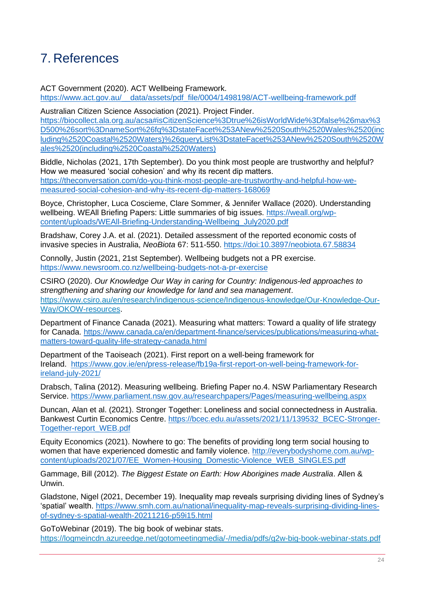# <span id="page-25-0"></span>7. References

ACT Government (2020). ACT Wellbeing Framework. [https://www.act.gov.au/\\_\\_data/assets/pdf\\_file/0004/1498198/ACT-wellbeing-framework.pdf](https://www.act.gov.au/__data/assets/pdf_file/0004/1498198/ACT-wellbeing-framework.pdf)

Australian Citizen Science Association (2021). Project Finder. [https://biocollect.ala.org.au/acsa#isCitizenScience%3Dtrue%26isWorldWide%3Dfalse%26max%3](https://biocollect.ala.org.au/acsa#isCitizenScience%3Dtrue%26isWorldWide%3Dfalse%26max%3D500%26sort%3DnameSort%26fq%3DstateFacet%253ANew%2520South%2520Wales%2520(including%2520Coastal%2520Waters)%26queryList%3DstateFacet%253ANew%2520South%2520Wales%2520(including%2520Coastal%2520Waters)) [D500%26sort%3DnameSort%26fq%3DstateFacet%253ANew%2520South%2520Wales%2520\(inc](https://biocollect.ala.org.au/acsa#isCitizenScience%3Dtrue%26isWorldWide%3Dfalse%26max%3D500%26sort%3DnameSort%26fq%3DstateFacet%253ANew%2520South%2520Wales%2520(including%2520Coastal%2520Waters)%26queryList%3DstateFacet%253ANew%2520South%2520Wales%2520(including%2520Coastal%2520Waters)) [luding%2520Coastal%2520Waters\)%26queryList%3DstateFacet%253ANew%2520South%2520W](https://biocollect.ala.org.au/acsa#isCitizenScience%3Dtrue%26isWorldWide%3Dfalse%26max%3D500%26sort%3DnameSort%26fq%3DstateFacet%253ANew%2520South%2520Wales%2520(including%2520Coastal%2520Waters)%26queryList%3DstateFacet%253ANew%2520South%2520Wales%2520(including%2520Coastal%2520Waters)) [ales%2520\(including%2520Coastal%2520Waters\)](https://biocollect.ala.org.au/acsa#isCitizenScience%3Dtrue%26isWorldWide%3Dfalse%26max%3D500%26sort%3DnameSort%26fq%3DstateFacet%253ANew%2520South%2520Wales%2520(including%2520Coastal%2520Waters)%26queryList%3DstateFacet%253ANew%2520South%2520Wales%2520(including%2520Coastal%2520Waters))

Biddle, Nicholas (2021, 17th September). Do you think most people are trustworthy and helpful? How we measured 'social cohesion' and why its recent dip matters. [https://theconversation.com/do-you-think-most-people-are-trustworthy-and-helpful-how-we](https://theconversation.com/do-you-think-most-people-are-trustworthy-and-helpful-how-we-measured-social-cohesion-and-why-its-recent-dip-matters-168069.)[measured-social-cohesion-and-why-its-recent-dip-matters-168069](https://theconversation.com/do-you-think-most-people-are-trustworthy-and-helpful-how-we-measured-social-cohesion-and-why-its-recent-dip-matters-168069.)

Boyce, Christopher, Luca Coscieme, Clare Sommer, & Jennifer Wallace (2020). Understanding wellbeing. WEAll Briefing Papers: Little summaries of big issues. [https://weall.org/wp](https://weall.org/wp-content/uploads/WEAll-Briefing-Understanding-Wellbeing_July2020.pdf)[content/uploads/WEAll-Briefing-Understanding-Wellbeing\\_July2020.pdf](https://weall.org/wp-content/uploads/WEAll-Briefing-Understanding-Wellbeing_July2020.pdf)

Bradshaw, Corey J.A. et al. (2021). Detailed assessment of the reported economic costs of invasive species in Australia, *NeoBiota* 67: 511-550. https://doi:10.3897/neobiota.67.58834

Connolly, Justin (2021, 21st September). Wellbeing budgets not a PR exercise. <https://www.newsroom.co.nz/wellbeing-budgets-not-a-pr-exercise>

CSIRO (2020). *Our Knowledge Our Way in caring for Country: Indigenous-led approaches to strengthening and sharing our knowledge for land and sea management*. [https://www.csiro.au/en/research/indigenous-science/Indigenous-knowledge/Our-Knowledge-Our-](https://www.csiro.au/en/research/indigenous-science/Indigenous-knowledge/Our-Knowledge-Our-Way/OKOW-resources)[Way/OKOW-resources.](https://www.csiro.au/en/research/indigenous-science/Indigenous-knowledge/Our-Knowledge-Our-Way/OKOW-resources)

Department of Finance Canada (2021). Measuring what matters: Toward a quality of life strategy for Canada. [https://www.canada.ca/en/department-finance/services/publications/measuring-what](https://www.canada.ca/en/department-finance/services/publications/measuring-what-matters-toward-quality-life-strategy-canada.html)[matters-toward-quality-life-strategy-canada.html](https://www.canada.ca/en/department-finance/services/publications/measuring-what-matters-toward-quality-life-strategy-canada.html)

Department of the Taoiseach (2021). First report on a well-being framework for Ireland. [https://www.gov.ie/en/press-release/fb19a-first-report-on-well-being-framework-for](https://www.gov.ie/en/press-release/fb19a-first-report-on-well-being-framework-for-ireland-july-2021/)[ireland-july-2021/](https://www.gov.ie/en/press-release/fb19a-first-report-on-well-being-framework-for-ireland-july-2021/)

Drabsch, Talina (2012). Measuring wellbeing. Briefing Paper no.4. NSW Parliamentary Research Service.<https://www.parliament.nsw.gov.au/researchpapers/Pages/measuring-wellbeing.aspx>

Duncan, Alan et al. (2021). Stronger Together: Loneliness and social connectedness in Australia. Bankwest Curtin Economics Centre. [https://bcec.edu.au/assets/2021/11/139532\\_BCEC-Stronger-](https://bcec.edu.au/assets/2021/11/139532_BCEC-Stronger-Together-report_WEB.pdf)[Together-report\\_WEB.pdf](https://bcec.edu.au/assets/2021/11/139532_BCEC-Stronger-Together-report_WEB.pdf)

Equity Economics (2021). Nowhere to go: The benefits of providing long term social housing to women that have experienced domestic and family violence. [http://everybodyshome.com.au/wp](http://everybodyshome.com.au/wp-content/uploads/2021/07/EE_Women-Housing_Domestic-Violence_WEB_SINGLES.pdf)[content/uploads/2021/07/EE\\_Women-Housing\\_Domestic-Violence\\_WEB\\_SINGLES.pdf](http://everybodyshome.com.au/wp-content/uploads/2021/07/EE_Women-Housing_Domestic-Violence_WEB_SINGLES.pdf)

Gammage, Bill (2012). *The Biggest Estate on Earth: How Aborigines made Australia*. Allen & Unwin.

Gladstone, Nigel (2021, December 19). Inequality map reveals surprising dividing lines of Sydney's 'spatial' wealth. [https://www.smh.com.au/national/inequality-map-reveals-surprising-dividing-lines](https://www.smh.com.au/national/inequality-map-reveals-surprising-dividing-lines-of-sydney-s-spatial-wealth-20211216-p59i15.html)[of-sydney-s-spatial-wealth-20211216-p59i15.html](https://www.smh.com.au/national/inequality-map-reveals-surprising-dividing-lines-of-sydney-s-spatial-wealth-20211216-p59i15.html)

GoToWebinar (2019). The big book of webinar stats. <https://logmeincdn.azureedge.net/gotomeetingmedia/-/media/pdfs/g2w-big-book-webinar-stats.pdf>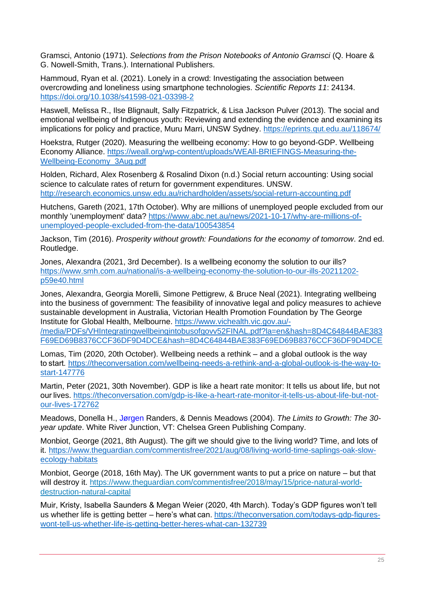Gramsci, Antonio (1971). *Selections from the Prison Notebooks of Antonio Gramsci* (Q. Hoare & G. Nowell-Smith, Trans.). International Publishers.

Hammoud, Ryan et al. (2021). Lonely in a crowd: Investigating the association between overcrowding and loneliness using smartphone technologies. *Scientific Reports 11*: 24134. <https://doi.org/10.1038/s41598-021-03398-2>

Haswell, Melissa R., Ilse Blignault, Sally Fitzpatrick, & Lisa Jackson Pulver (2013). The social and emotional wellbeing of Indigenous youth: Reviewing and extending the evidence and examining its implications for policy and practice, Muru Marri, UNSW Sydney.<https://eprints.qut.edu.au/118674/>

Hoekstra, Rutger (2020). Measuring the wellbeing economy: How to go beyond-GDP. Wellbeing Economy Alliance. [https://weall.org/wp-content/uploads/WEAll-BRIEFINGS-Measuring-the-](https://weall.org/wp-content/uploads/WEAll-BRIEFINGS-Measuring-the-Wellbeing-Economy_3Aug.pdf)[Wellbeing-Economy\\_3Aug.pdf](https://weall.org/wp-content/uploads/WEAll-BRIEFINGS-Measuring-the-Wellbeing-Economy_3Aug.pdf)

Holden, Richard, Alex Rosenberg & Rosalind Dixon (n.d.) Social return accounting: Using social science to calculate rates of return for government expenditures. UNSW. <http://research.economics.unsw.edu.au/richardholden/assets/social-return-accounting.pdf>

Hutchens, Gareth (2021, 17th October). Why are millions of unemployed people excluded from our monthly 'unemployment' data? [https://www.abc.net.au/news/2021-10-17/why-are-millions-of](https://www.abc.net.au/news/2021-10-17/why-are-millions-of-unemployed-people-excluded-from-the-data/100543854)[unemployed-people-excluded-from-the-data/100543854](https://www.abc.net.au/news/2021-10-17/why-are-millions-of-unemployed-people-excluded-from-the-data/100543854)

Jackson, Tim (2016). *Prosperity without growth: Foundations for the economy of tomorrow*. 2nd ed. Routledge.

Jones, Alexandra (2021, 3rd December). Is a wellbeing economy the solution to our ills? [https://www.smh.com.au/national/is-a-wellbeing-economy-the-solution-to-our-ills-20211202](https://www.smh.com.au/national/is-a-wellbeing-economy-the-solution-to-our-ills-20211202-p59e40.html) [p59e40.html](https://www.smh.com.au/national/is-a-wellbeing-economy-the-solution-to-our-ills-20211202-p59e40.html)

Jones, Alexandra, Georgia Morelli, Simone Pettigrew, & Bruce Neal (2021). Integrating wellbeing into the business of government: The feasibility of innovative legal and policy measures to achieve sustainable development in Australia, Victorian Health Promotion Foundation by The George Institute for Global Health, Melbourne. [https://www.vichealth.vic.gov.au/-](https://www.vichealth.vic.gov.au/-/media/PDFs/VHIntegratingwellbeingintobusofgovv52FINAL.pdf?la=en&hash=8D4C64844BAE383F69ED69B8376CCF36DF9D4DCE&hash=8D4C64844BAE383F69ED69B8376CCF36DF9D4DCE)

[/media/PDFs/VHIntegratingwellbeingintobusofgovv52FINAL.pdf?la=en&hash=8D4C64844BAE383](https://www.vichealth.vic.gov.au/-/media/PDFs/VHIntegratingwellbeingintobusofgovv52FINAL.pdf?la=en&hash=8D4C64844BAE383F69ED69B8376CCF36DF9D4DCE&hash=8D4C64844BAE383F69ED69B8376CCF36DF9D4DCE) [F69ED69B8376CCF36DF9D4DCE&hash=8D4C64844BAE383F69ED69B8376CCF36DF9D4DCE](https://www.vichealth.vic.gov.au/-/media/PDFs/VHIntegratingwellbeingintobusofgovv52FINAL.pdf?la=en&hash=8D4C64844BAE383F69ED69B8376CCF36DF9D4DCE&hash=8D4C64844BAE383F69ED69B8376CCF36DF9D4DCE)

Lomas, Tim (2020, 20th October). Wellbeing needs a rethink – and a global outlook is the way to start*.* [https://theconversation.com/wellbeing-needs-a-rethink-and-a-global-outlook-is-the-way-to](https://theconversation.com/wellbeing-needs-a-rethink-and-a-global-outlook-is-the-way-to-start-147776)[start-147776](https://theconversation.com/wellbeing-needs-a-rethink-and-a-global-outlook-is-the-way-to-start-147776)

Martin, Peter (2021, 30th November). GDP is like a heart rate monitor: It tells us about life, but not our lives. [https://theconversation.com/gdp-is-like-a-heart-rate-monitor-it-tells-us-about-life-but-not](https://theconversation.com/gdp-is-like-a-heart-rate-monitor-it-tells-us-about-life-but-not-our-lives-172762)[our-lives-172762](https://theconversation.com/gdp-is-like-a-heart-rate-monitor-it-tells-us-about-life-but-not-our-lives-172762)

Meadows, Donella H., [Jørgen](https://en.wikipedia.org/wiki/J%C3%B8rgen_Randers) Randers, & Dennis Meadows (2004). *The Limits to Growth: The 30 year update*. White River Junction, VT: Chelsea Green Publishing Company.

Monbiot, George (2021, 8th August). The gift we should give to the living world? Time, and lots of it. [https://www.theguardian.com/commentisfree/2021/aug/08/living-world-time-saplings-oak-slow](https://www.theguardian.com/commentisfree/2021/aug/08/living-world-time-saplings-oak-slow-ecology-habitats)[ecology-habitats](https://www.theguardian.com/commentisfree/2021/aug/08/living-world-time-saplings-oak-slow-ecology-habitats)

Monbiot, George (2018, 16th May). The UK government wants to put a price on nature – but that will destroy it. [https://www.theguardian.com/commentisfree/2018/may/15/price-natural-world](https://www.theguardian.com/commentisfree/2018/may/15/price-natural-world-destruction-natural-capital)[destruction-natural-capital](https://www.theguardian.com/commentisfree/2018/may/15/price-natural-world-destruction-natural-capital)

Muir, Kristy, Isabella Saunders & Megan Weier (2020, 4th March). Today's GDP figures won't tell us whether life is getting better – here's what can. [https://theconversation.com/todays-gdp-figures](https://theconversation.com/todays-gdp-figures-wont-tell-us-whether-life-is-getting-better-heres-what-can-132739)[wont-tell-us-whether-life-is-getting-better-heres-what-can-132739](https://theconversation.com/todays-gdp-figures-wont-tell-us-whether-life-is-getting-better-heres-what-can-132739)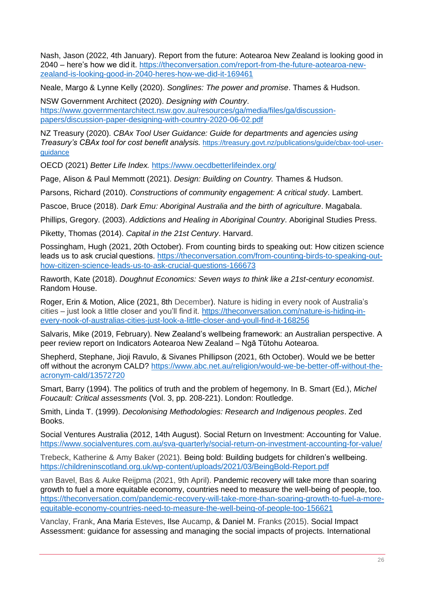Nash, Jason (2022, 4th January). Report from the future: Aotearoa New Zealand is looking good in 2040 – here's how we did it. [https://theconversation.com/report-from-the-future-aotearoa-new](https://theconversation.com/report-from-the-future-aotearoa-new-zealand-is-looking-good-in-2040-heres-how-we-did-it-169461)[zealand-is-looking-good-in-2040-heres-how-we-did-it-169461](https://theconversation.com/report-from-the-future-aotearoa-new-zealand-is-looking-good-in-2040-heres-how-we-did-it-169461)

Neale, Margo & Lynne Kelly (2020). *Songlines: The power and promise*. Thames & Hudson.

NSW Government Architect (2020). *Designing with Country*. [https://www.governmentarchitect.nsw.gov.au/resources/ga/media/files/ga/discussion](https://www.governmentarchitect.nsw.gov.au/resources/ga/media/files/ga/discussion-papers/discussion-paper-designing-with-country-2020-06-02.pdf)[papers/discussion-paper-designing-with-country-2020-06-02.pdf](https://www.governmentarchitect.nsw.gov.au/resources/ga/media/files/ga/discussion-papers/discussion-paper-designing-with-country-2020-06-02.pdf)

NZ Treasury (2020). *CBAx Tool User Guidance: Guide for departments and agencies using Treasury's CBAx tool for cost benefit analysis.* [https://treasury.govt.nz/publications/guide/cbax-tool-user](https://treasury.govt.nz/publications/guide/cbax-tool-user-guidance)[guidance](https://treasury.govt.nz/publications/guide/cbax-tool-user-guidance)

OECD (2021) *Better Life Index.* <https://www.oecdbetterlifeindex.org/>

Page, Alison & Paul Memmott (2021). *Design: Building on Country.* Thames & Hudson.

Parsons, Richard (2010). *Constructions of community engagement: A critical study*. Lambert.

Pascoe, Bruce (2018). *Dark Emu: Aboriginal Australia and the birth of agriculture*. Magabala.

Phillips, Gregory. (2003). *Addictions and Healing in Aboriginal Country*. Aboriginal Studies Press.

Piketty, Thomas (2014). *Capital in the 21st Century*. Harvard.

Possingham, Hugh (2021, 20th October). From counting birds to speaking out: How citizen science leads us to ask crucial questions. [https://theconversation.com/from-counting-birds-to-speaking-out](https://theconversation.com/from-counting-birds-to-speaking-out-how-citizen-science-leads-us-to-ask-crucial-questions-166673)[how-citizen-science-leads-us-to-ask-crucial-questions-166673](https://theconversation.com/from-counting-birds-to-speaking-out-how-citizen-science-leads-us-to-ask-crucial-questions-166673)

Raworth, Kate (2018). *Doughnut Economics: Seven ways to think like a 21st-century economist*. Random House.

Roger, Erin & Motion, Alice (2021, 8th December). Nature is hiding in every nook of Australia's cities – just look a little closer and you'll find it. [https://theconversation.com/nature-is-hiding-in](https://theconversation.com/nature-is-hiding-in-every-nook-of-australias-cities-just-look-a-little-closer-and-youll-find-it-168256)[every-nook-of-australias-cities-just-look-a-little-closer-and-youll-find-it-168256](https://theconversation.com/nature-is-hiding-in-every-nook-of-australias-cities-just-look-a-little-closer-and-youll-find-it-168256)

Salvaris, Mike (2019, February). New Zealand's wellbeing framework: an Australian perspective. A peer review report on Indicators Aotearoa New Zealand *–* Ngā Tūtohu Aotearoa.

Shepherd, Stephane, Jioji Ravulo, & Sivanes Phillipson (2021, 6th October). Would we be better off without the acronym CALD? [https://www.abc.net.au/religion/would-we-be-better-off-without-the](https://www.abc.net.au/religion/would-we-be-better-off-without-the-acronym-cald/13572720)[acronym-cald/13572720](https://www.abc.net.au/religion/would-we-be-better-off-without-the-acronym-cald/13572720)

Smart, Barry (1994). The politics of truth and the problem of hegemony. In B. Smart (Ed.), *Michel Foucault: Critical assessments* (Vol. 3, pp. 208-221). London: Routledge.

Smith, Linda T. (1999). *Decolonising Methodologies: Research and Indigenous peoples*. Zed Books.

Social Ventures Australia (2012, 14th August). Social Return on Investment: Accounting for Value. <https://www.socialventures.com.au/sva-quarterly/social-return-on-investment-accounting-for-value/>

Trebeck, Katherine & Amy Baker (2021). Being bold: Building budgets for children's wellbeing. <https://childreninscotland.org.uk/wp-content/uploads/2021/03/BeingBold-Report.pdf>

van Bavel, Bas & Auke Reijpma (2021, 9th April). Pandemic recovery will take more than soaring growth to fuel a more equitable economy, countries need to measure the well-being of people, too. [https://theconversation.com/pandemic-recovery-will-take-more-than-soaring-growth-to-fuel-a-more](https://theconversation.com/pandemic-recovery-will-take-more-than-soaring-growth-to-fuel-a-more-equitable-economy-countries-need-to-measure-the-well-being-of-people-too-156621)[equitable-economy-countries-need-to-measure-the-well-being-of-people-too-156621](https://theconversation.com/pandemic-recovery-will-take-more-than-soaring-growth-to-fuel-a-more-equitable-economy-countries-need-to-measure-the-well-being-of-people-too-156621)

Vanclay, Frank, Ana Maria Esteves, Ilse Aucamp, & Daniel M. Franks (2015). Social Impact Assessment: guidance for assessing and managing the social impacts of projects. International